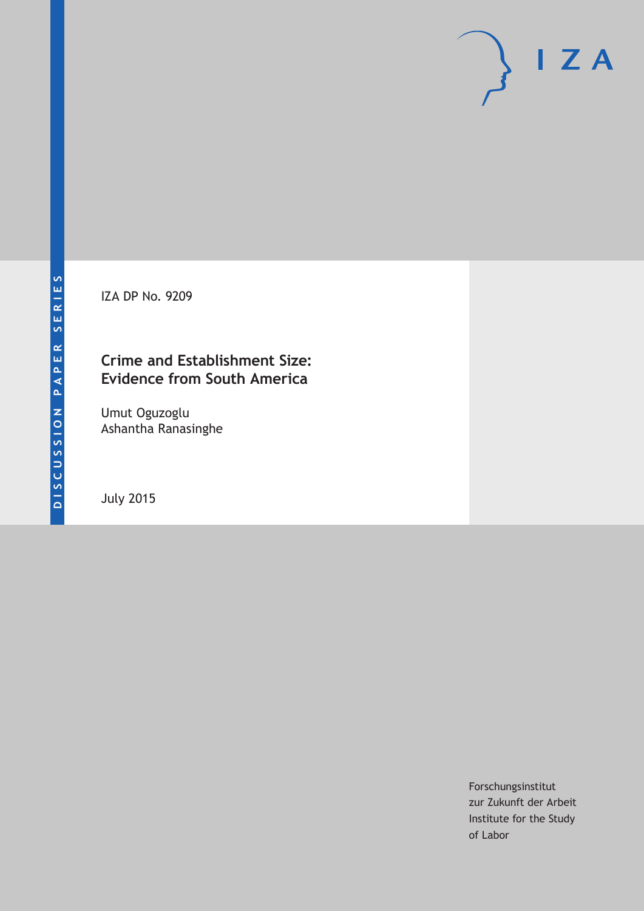IZA DP No. 9209

# **Crime and Establishment Size: Evidence from South America**

Umut Oguzoglu Ashantha Ranasinghe

July 2015

Forschungsinstitut zur Zukunft der Arbeit Institute for the Study of Labor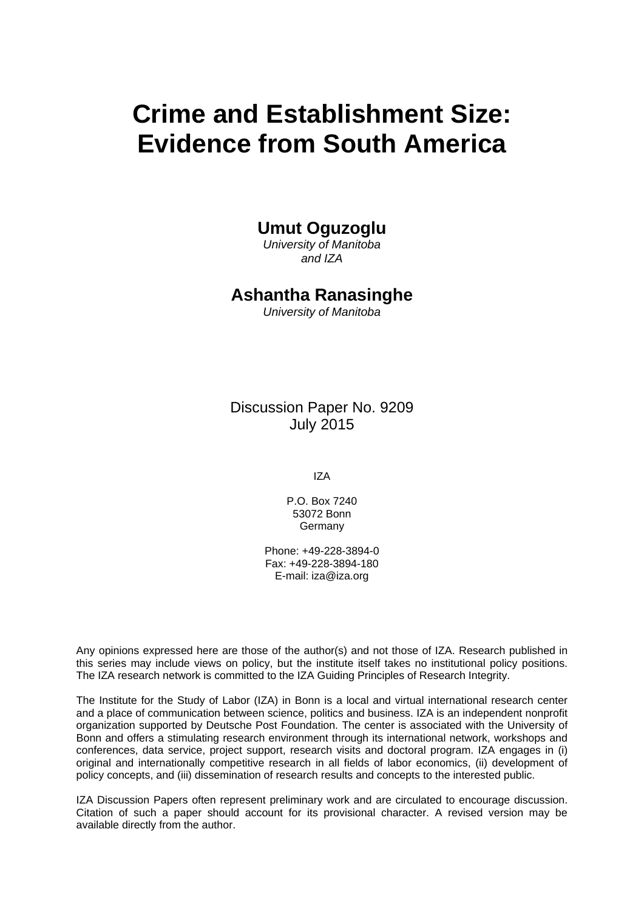# **Crime and Establishment Size: Evidence from South America**

## **Umut Oguzoglu**

*University of Manitoba and IZA* 

### **Ashantha Ranasinghe**

*University of Manitoba* 

Discussion Paper No. 9209 July 2015

IZA

P.O. Box 7240 53072 Bonn **Germany** 

Phone: +49-228-3894-0 Fax: +49-228-3894-180 E-mail: iza@iza.org

Any opinions expressed here are those of the author(s) and not those of IZA. Research published in this series may include views on policy, but the institute itself takes no institutional policy positions. The IZA research network is committed to the IZA Guiding Principles of Research Integrity.

The Institute for the Study of Labor (IZA) in Bonn is a local and virtual international research center and a place of communication between science, politics and business. IZA is an independent nonprofit organization supported by Deutsche Post Foundation. The center is associated with the University of Bonn and offers a stimulating research environment through its international network, workshops and conferences, data service, project support, research visits and doctoral program. IZA engages in (i) original and internationally competitive research in all fields of labor economics, (ii) development of policy concepts, and (iii) dissemination of research results and concepts to the interested public.

IZA Discussion Papers often represent preliminary work and are circulated to encourage discussion. Citation of such a paper should account for its provisional character. A revised version may be available directly from the author.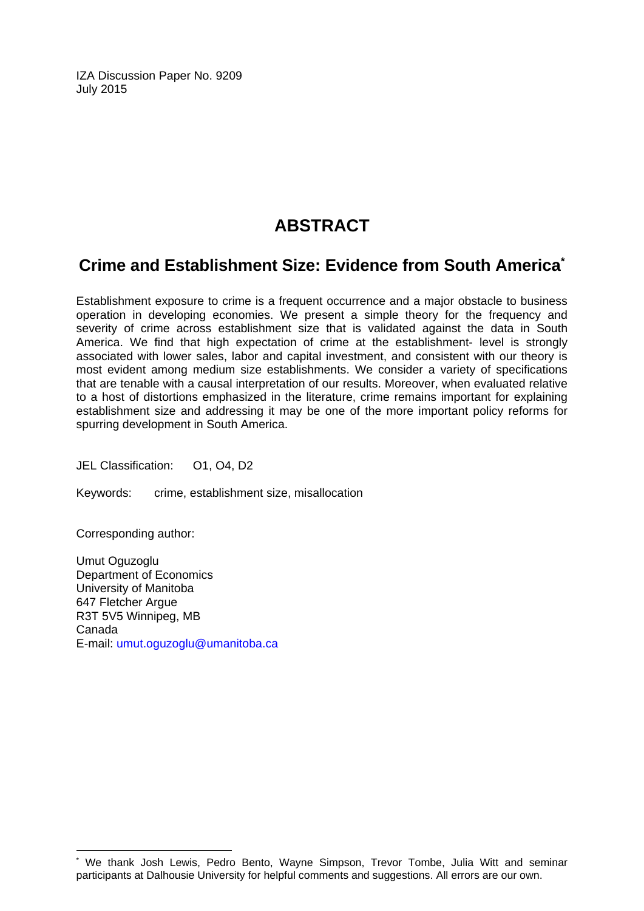IZA Discussion Paper No. 9209 July 2015

# **ABSTRACT**

# **Crime and Establishment Size: Evidence from South America\***

Establishment exposure to crime is a frequent occurrence and a major obstacle to business operation in developing economies. We present a simple theory for the frequency and severity of crime across establishment size that is validated against the data in South America. We find that high expectation of crime at the establishment- level is strongly associated with lower sales, labor and capital investment, and consistent with our theory is most evident among medium size establishments. We consider a variety of specifications that are tenable with a causal interpretation of our results. Moreover, when evaluated relative to a host of distortions emphasized in the literature, crime remains important for explaining establishment size and addressing it may be one of the more important policy reforms for spurring development in South America.

JEL Classification: O1, O4, D2

Keywords: crime, establishment size, misallocation

Corresponding author:

 $\overline{a}$ 

Umut Oguzoglu Department of Economics University of Manitoba 647 Fletcher Argue R3T 5V5 Winnipeg, MB Canada E-mail: umut.oguzoglu@umanitoba.ca

<sup>\*</sup> We thank Josh Lewis, Pedro Bento, Wayne Simpson, Trevor Tombe, Julia Witt and seminar participants at Dalhousie University for helpful comments and suggestions. All errors are our own.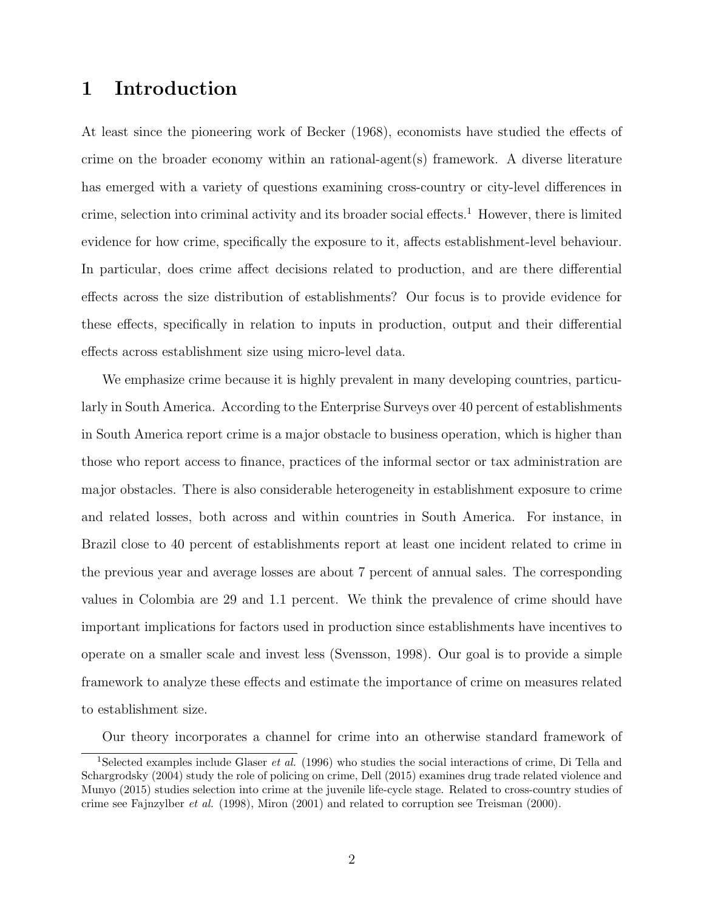### 1 Introduction

At least since the pioneering work of Becker (1968), economists have studied the effects of crime on the broader economy within an rational-agent(s) framework. A diverse literature has emerged with a variety of questions examining cross-country or city-level differences in crime, selection into criminal activity and its broader social effects.<sup>1</sup> However, there is limited evidence for how crime, specifically the exposure to it, affects establishment-level behaviour. In particular, does crime affect decisions related to production, and are there differential effects across the size distribution of establishments? Our focus is to provide evidence for these effects, specifically in relation to inputs in production, output and their differential effects across establishment size using micro-level data.

We emphasize crime because it is highly prevalent in many developing countries, particularly in South America. According to the Enterprise Surveys over 40 percent of establishments in South America report crime is a major obstacle to business operation, which is higher than those who report access to finance, practices of the informal sector or tax administration are major obstacles. There is also considerable heterogeneity in establishment exposure to crime and related losses, both across and within countries in South America. For instance, in Brazil close to 40 percent of establishments report at least one incident related to crime in the previous year and average losses are about 7 percent of annual sales. The corresponding values in Colombia are 29 and 1.1 percent. We think the prevalence of crime should have important implications for factors used in production since establishments have incentives to operate on a smaller scale and invest less (Svensson, 1998). Our goal is to provide a simple framework to analyze these effects and estimate the importance of crime on measures related to establishment size.

Our theory incorporates a channel for crime into an otherwise standard framework of

<sup>&</sup>lt;sup>1</sup>Selected examples include Glaser *et al.* (1996) who studies the social interactions of crime, Di Tella and Schargrodsky (2004) study the role of policing on crime, Dell (2015) examines drug trade related violence and Munyo (2015) studies selection into crime at the juvenile life-cycle stage. Related to cross-country studies of crime see Fajnzylber et al. (1998), Miron (2001) and related to corruption see Treisman (2000).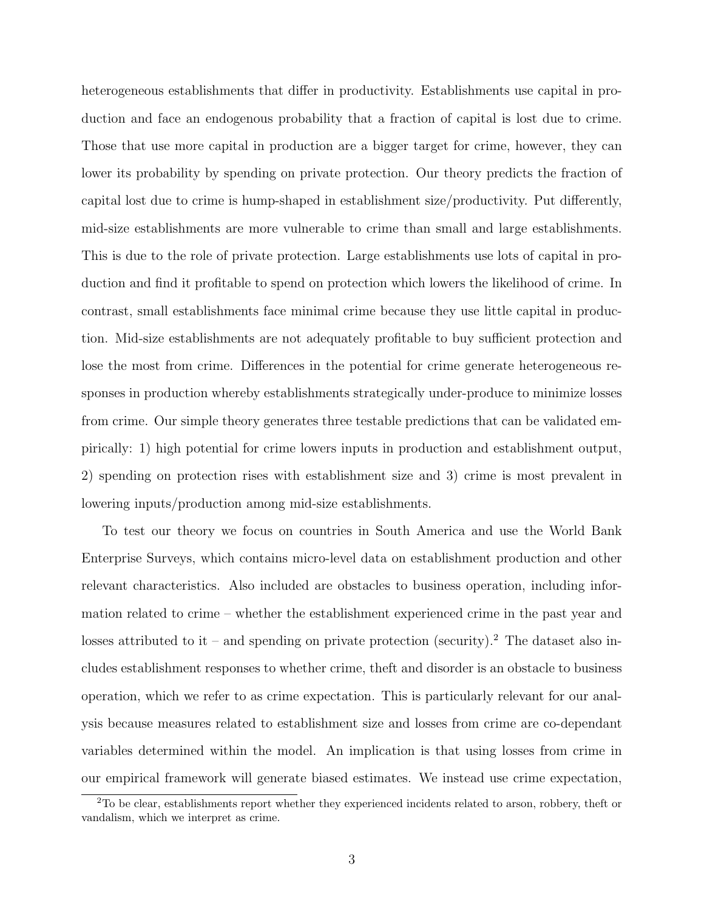heterogeneous establishments that differ in productivity. Establishments use capital in production and face an endogenous probability that a fraction of capital is lost due to crime. Those that use more capital in production are a bigger target for crime, however, they can lower its probability by spending on private protection. Our theory predicts the fraction of capital lost due to crime is hump-shaped in establishment size/productivity. Put differently, mid-size establishments are more vulnerable to crime than small and large establishments. This is due to the role of private protection. Large establishments use lots of capital in production and find it profitable to spend on protection which lowers the likelihood of crime. In contrast, small establishments face minimal crime because they use little capital in production. Mid-size establishments are not adequately profitable to buy sufficient protection and lose the most from crime. Differences in the potential for crime generate heterogeneous responses in production whereby establishments strategically under-produce to minimize losses from crime. Our simple theory generates three testable predictions that can be validated empirically: 1) high potential for crime lowers inputs in production and establishment output, 2) spending on protection rises with establishment size and 3) crime is most prevalent in lowering inputs/production among mid-size establishments.

To test our theory we focus on countries in South America and use the World Bank Enterprise Surveys, which contains micro-level data on establishment production and other relevant characteristics. Also included are obstacles to business operation, including information related to crime – whether the establishment experienced crime in the past year and losses attributed to it – and spending on private protection (security).<sup>2</sup> The dataset also includes establishment responses to whether crime, theft and disorder is an obstacle to business operation, which we refer to as crime expectation. This is particularly relevant for our analysis because measures related to establishment size and losses from crime are co-dependant variables determined within the model. An implication is that using losses from crime in our empirical framework will generate biased estimates. We instead use crime expectation,

<sup>&</sup>lt;sup>2</sup>To be clear, establishments report whether they experienced incidents related to arson, robbery, theft or vandalism, which we interpret as crime.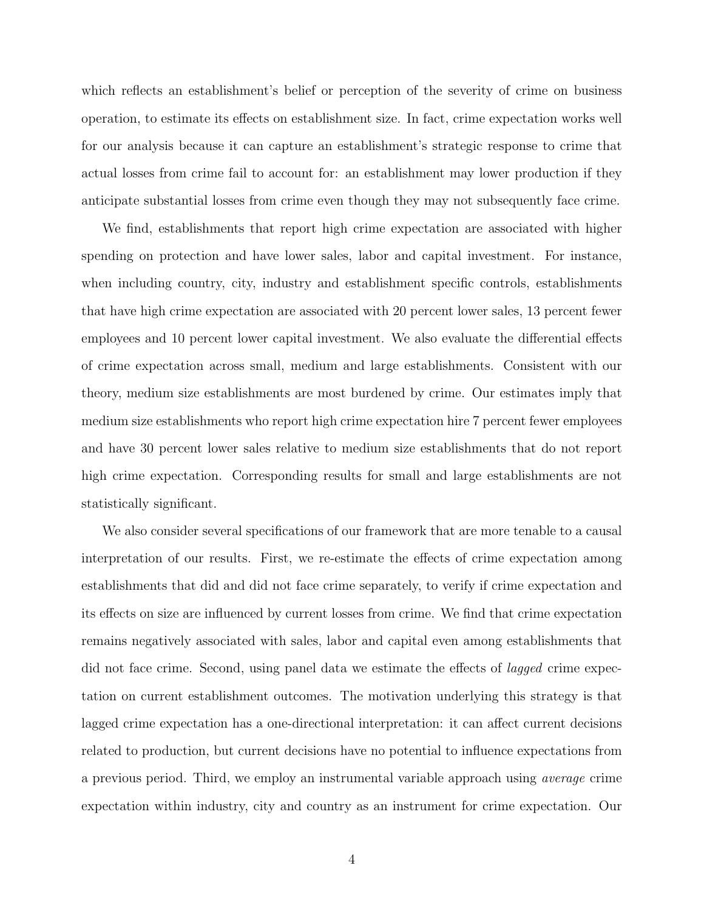which reflects an establishment's belief or perception of the severity of crime on business operation, to estimate its effects on establishment size. In fact, crime expectation works well for our analysis because it can capture an establishment's strategic response to crime that actual losses from crime fail to account for: an establishment may lower production if they anticipate substantial losses from crime even though they may not subsequently face crime.

We find, establishments that report high crime expectation are associated with higher spending on protection and have lower sales, labor and capital investment. For instance, when including country, city, industry and establishment specific controls, establishments that have high crime expectation are associated with 20 percent lower sales, 13 percent fewer employees and 10 percent lower capital investment. We also evaluate the differential effects of crime expectation across small, medium and large establishments. Consistent with our theory, medium size establishments are most burdened by crime. Our estimates imply that medium size establishments who report high crime expectation hire 7 percent fewer employees and have 30 percent lower sales relative to medium size establishments that do not report high crime expectation. Corresponding results for small and large establishments are not statistically significant.

We also consider several specifications of our framework that are more tenable to a causal interpretation of our results. First, we re-estimate the effects of crime expectation among establishments that did and did not face crime separately, to verify if crime expectation and its effects on size are influenced by current losses from crime. We find that crime expectation remains negatively associated with sales, labor and capital even among establishments that did not face crime. Second, using panel data we estimate the effects of lagged crime expectation on current establishment outcomes. The motivation underlying this strategy is that lagged crime expectation has a one-directional interpretation: it can affect current decisions related to production, but current decisions have no potential to influence expectations from a previous period. Third, we employ an instrumental variable approach using average crime expectation within industry, city and country as an instrument for crime expectation. Our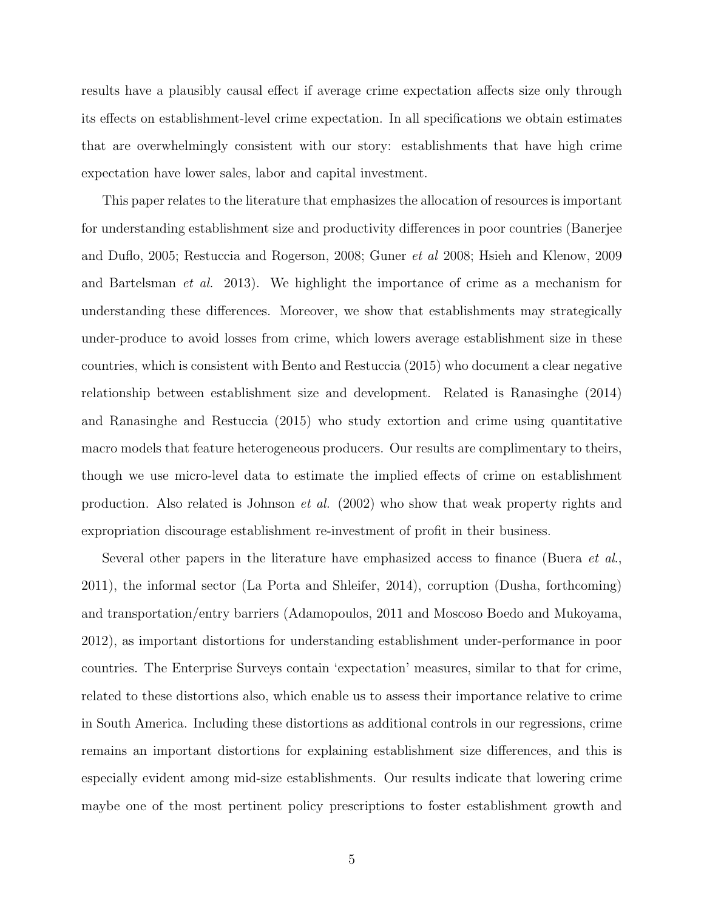results have a plausibly causal effect if average crime expectation affects size only through its effects on establishment-level crime expectation. In all specifications we obtain estimates that are overwhelmingly consistent with our story: establishments that have high crime expectation have lower sales, labor and capital investment.

This paper relates to the literature that emphasizes the allocation of resources is important for understanding establishment size and productivity differences in poor countries (Banerjee and Duflo, 2005; Restuccia and Rogerson, 2008; Guner et al 2008; Hsieh and Klenow, 2009 and Bartelsman et al. 2013). We highlight the importance of crime as a mechanism for understanding these differences. Moreover, we show that establishments may strategically under-produce to avoid losses from crime, which lowers average establishment size in these countries, which is consistent with Bento and Restuccia (2015) who document a clear negative relationship between establishment size and development. Related is Ranasinghe (2014) and Ranasinghe and Restuccia (2015) who study extortion and crime using quantitative macro models that feature heterogeneous producers. Our results are complimentary to theirs, though we use micro-level data to estimate the implied effects of crime on establishment production. Also related is Johnson et al. (2002) who show that weak property rights and expropriation discourage establishment re-investment of profit in their business.

Several other papers in the literature have emphasized access to finance (Buera et al., 2011), the informal sector (La Porta and Shleifer, 2014), corruption (Dusha, forthcoming) and transportation/entry barriers (Adamopoulos, 2011 and Moscoso Boedo and Mukoyama, 2012), as important distortions for understanding establishment under-performance in poor countries. The Enterprise Surveys contain 'expectation' measures, similar to that for crime, related to these distortions also, which enable us to assess their importance relative to crime in South America. Including these distortions as additional controls in our regressions, crime remains an important distortions for explaining establishment size differences, and this is especially evident among mid-size establishments. Our results indicate that lowering crime maybe one of the most pertinent policy prescriptions to foster establishment growth and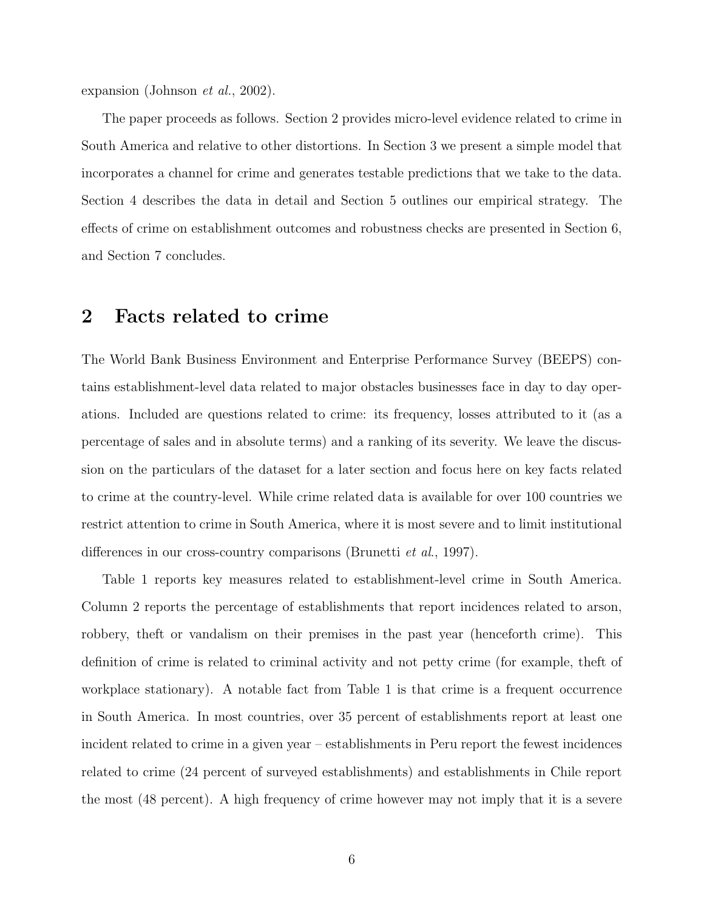expansion (Johnson et al., 2002).

The paper proceeds as follows. Section 2 provides micro-level evidence related to crime in South America and relative to other distortions. In Section 3 we present a simple model that incorporates a channel for crime and generates testable predictions that we take to the data. Section 4 describes the data in detail and Section 5 outlines our empirical strategy. The effects of crime on establishment outcomes and robustness checks are presented in Section 6, and Section 7 concludes.

### 2 Facts related to crime

The World Bank Business Environment and Enterprise Performance Survey (BEEPS) contains establishment-level data related to major obstacles businesses face in day to day operations. Included are questions related to crime: its frequency, losses attributed to it (as a percentage of sales and in absolute terms) and a ranking of its severity. We leave the discussion on the particulars of the dataset for a later section and focus here on key facts related to crime at the country-level. While crime related data is available for over 100 countries we restrict attention to crime in South America, where it is most severe and to limit institutional differences in our cross-country comparisons (Brunetti *et al.*, 1997).

Table 1 reports key measures related to establishment-level crime in South America. Column 2 reports the percentage of establishments that report incidences related to arson, robbery, theft or vandalism on their premises in the past year (henceforth crime). This definition of crime is related to criminal activity and not petty crime (for example, theft of workplace stationary). A notable fact from Table 1 is that crime is a frequent occurrence in South America. In most countries, over 35 percent of establishments report at least one incident related to crime in a given year – establishments in Peru report the fewest incidences related to crime (24 percent of surveyed establishments) and establishments in Chile report the most (48 percent). A high frequency of crime however may not imply that it is a severe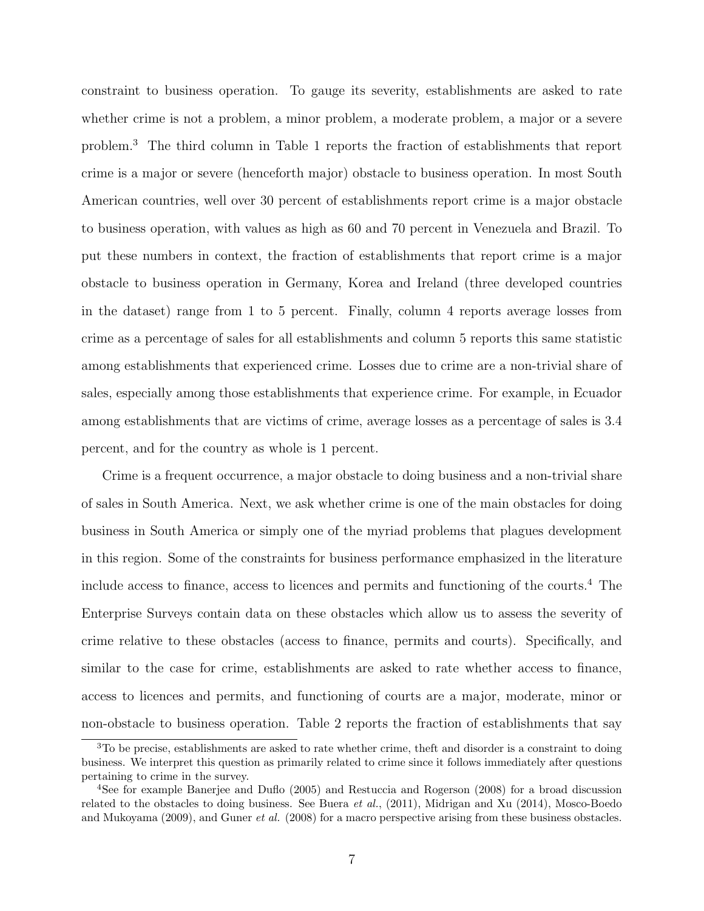constraint to business operation. To gauge its severity, establishments are asked to rate whether crime is not a problem, a minor problem, a moderate problem, a major or a severe problem.<sup>3</sup> The third column in Table 1 reports the fraction of establishments that report crime is a major or severe (henceforth major) obstacle to business operation. In most South American countries, well over 30 percent of establishments report crime is a major obstacle to business operation, with values as high as 60 and 70 percent in Venezuela and Brazil. To put these numbers in context, the fraction of establishments that report crime is a major obstacle to business operation in Germany, Korea and Ireland (three developed countries in the dataset) range from 1 to 5 percent. Finally, column 4 reports average losses from crime as a percentage of sales for all establishments and column 5 reports this same statistic among establishments that experienced crime. Losses due to crime are a non-trivial share of sales, especially among those establishments that experience crime. For example, in Ecuador among establishments that are victims of crime, average losses as a percentage of sales is 3.4 percent, and for the country as whole is 1 percent.

Crime is a frequent occurrence, a major obstacle to doing business and a non-trivial share of sales in South America. Next, we ask whether crime is one of the main obstacles for doing business in South America or simply one of the myriad problems that plagues development in this region. Some of the constraints for business performance emphasized in the literature include access to finance, access to licences and permits and functioning of the courts.<sup>4</sup> The Enterprise Surveys contain data on these obstacles which allow us to assess the severity of crime relative to these obstacles (access to finance, permits and courts). Specifically, and similar to the case for crime, establishments are asked to rate whether access to finance, access to licences and permits, and functioning of courts are a major, moderate, minor or non-obstacle to business operation. Table 2 reports the fraction of establishments that say

<sup>&</sup>lt;sup>3</sup>To be precise, establishments are asked to rate whether crime, theft and disorder is a constraint to doing business. We interpret this question as primarily related to crime since it follows immediately after questions pertaining to crime in the survey.

<sup>4</sup>See for example Banerjee and Duflo (2005) and Restuccia and Rogerson (2008) for a broad discussion related to the obstacles to doing business. See Buera *et al.*,  $(2011)$ , Midrigan and Xu  $(2014)$ , Mosco-Boedo and Mukoyama (2009), and Guner *et al.* (2008) for a macro perspective arising from these business obstacles.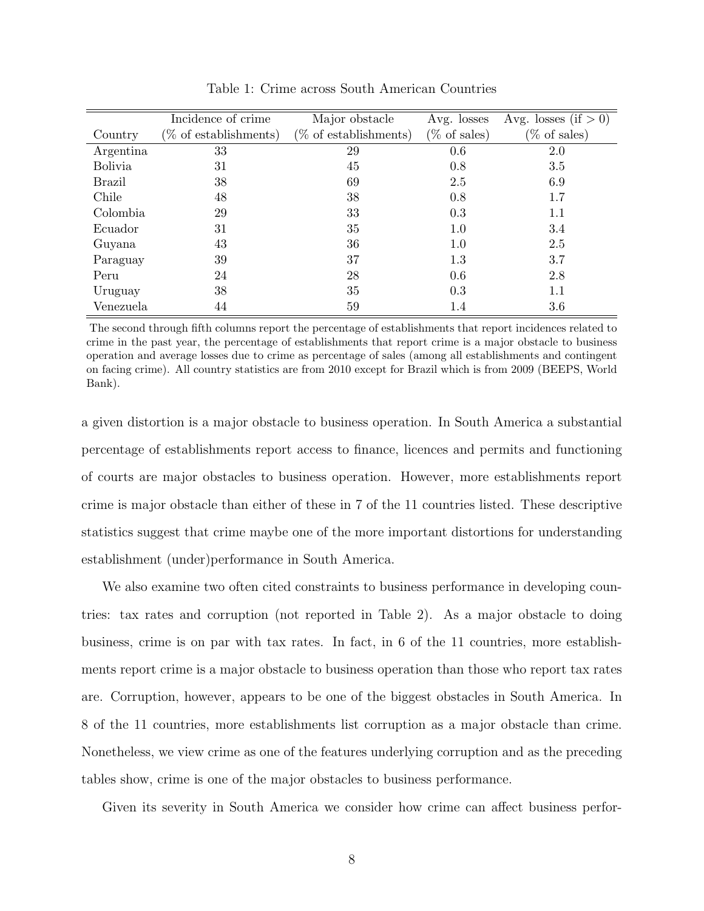|                | Incidence of crime    | Major obstacle           | Avg. losses     | Avg. losses (if $> 0$ ) |
|----------------|-----------------------|--------------------------|-----------------|-------------------------|
| Country        | (% of establishments) | $(\%$ of establishments) | $(\%$ of sales) | $(\% \text{ of sales})$ |
| Argentina      | 33                    | 29                       | 0.6             | 2.0                     |
| <b>Bolivia</b> | 31                    | 45                       | 0.8             | 3.5                     |
| Brazil         | 38                    | 69                       | 2.5             | 6.9                     |
| Chile          | 48                    | 38                       | 0.8             | 1.7                     |
| Colombia       | 29                    | 33                       | 0.3             | $1.1\,$                 |
| Ecuador        | 31                    | 35                       | 1.0             | 3.4                     |
| Guyana         | 43                    | 36                       | 1.0             | 2.5                     |
| Paraguay       | 39                    | 37                       | 1.3             | 3.7                     |
| Peru           | 24                    | 28                       | 0.6             | 2.8                     |
| Uruguay        | 38                    | 35                       | 0.3             | $1.1\,$                 |
| Venezuela      | 44                    | 59                       | 1.4             | 3.6                     |

Table 1: Crime across South American Countries

The second through fifth columns report the percentage of establishments that report incidences related to crime in the past year, the percentage of establishments that report crime is a major obstacle to business operation and average losses due to crime as percentage of sales (among all establishments and contingent on facing crime). All country statistics are from 2010 except for Brazil which is from 2009 (BEEPS, World Bank).

a given distortion is a major obstacle to business operation. In South America a substantial percentage of establishments report access to finance, licences and permits and functioning of courts are major obstacles to business operation. However, more establishments report crime is major obstacle than either of these in 7 of the 11 countries listed. These descriptive statistics suggest that crime maybe one of the more important distortions for understanding establishment (under)performance in South America.

We also examine two often cited constraints to business performance in developing countries: tax rates and corruption (not reported in Table 2). As a major obstacle to doing business, crime is on par with tax rates. In fact, in 6 of the 11 countries, more establishments report crime is a major obstacle to business operation than those who report tax rates are. Corruption, however, appears to be one of the biggest obstacles in South America. In 8 of the 11 countries, more establishments list corruption as a major obstacle than crime. Nonetheless, we view crime as one of the features underlying corruption and as the preceding tables show, crime is one of the major obstacles to business performance.

Given its severity in South America we consider how crime can affect business perfor-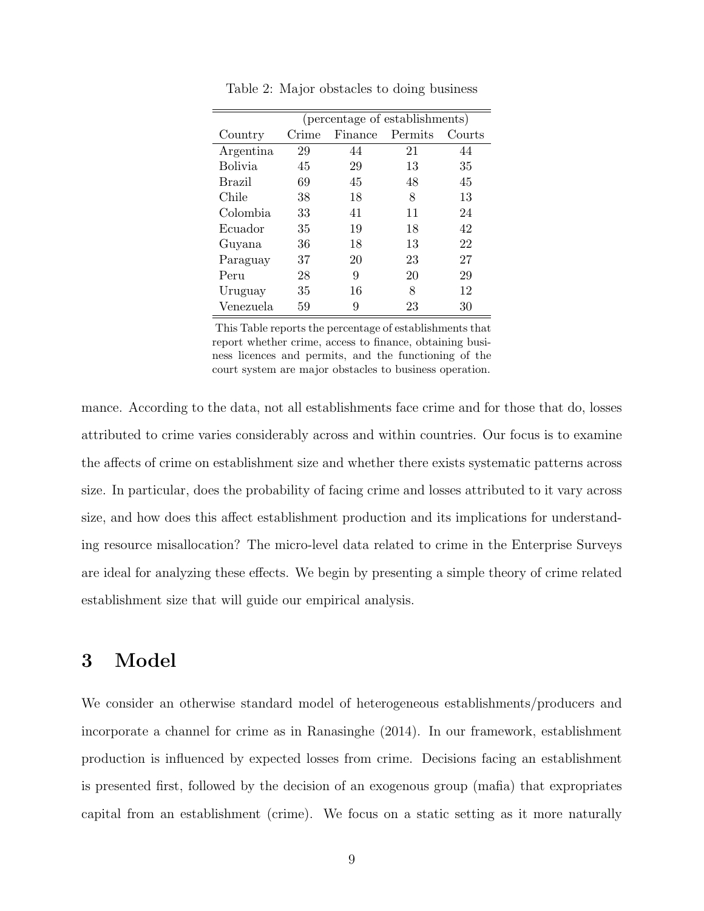|                | (percentage of establishments) |         |         |        |  |  |  |
|----------------|--------------------------------|---------|---------|--------|--|--|--|
| Country        | Crime                          | Finance | Permits | Courts |  |  |  |
| Argentina      | 29                             | 44      | 21      | 44     |  |  |  |
| <b>Bolivia</b> | 45                             | 29      | 13      | 35     |  |  |  |
| Brazil         | 69                             | 45      | 48      | 45     |  |  |  |
| Chile          | 38                             | 18      | 8       | 13     |  |  |  |
| Colombia       | 33                             | 41      | 11      | 24     |  |  |  |
| Ecuador        | 35                             | 19      | 18      | 42     |  |  |  |
| Guyana         | 36                             | 18      | 13      | 22     |  |  |  |
| Paraguay       | 37                             | 20      | 23      | 27     |  |  |  |
| Peru           | 28                             | 9       | 20      | 29     |  |  |  |
| Uruguay        | 35                             | 16      | 8       | 12     |  |  |  |
| Venezuela      | 59                             | 9       | 23      | 30     |  |  |  |

Table 2: Major obstacles to doing business

This Table reports the percentage of establishments that report whether crime, access to finance, obtaining business licences and permits, and the functioning of the court system are major obstacles to business operation.

mance. According to the data, not all establishments face crime and for those that do, losses attributed to crime varies considerably across and within countries. Our focus is to examine the affects of crime on establishment size and whether there exists systematic patterns across size. In particular, does the probability of facing crime and losses attributed to it vary across size, and how does this affect establishment production and its implications for understanding resource misallocation? The micro-level data related to crime in the Enterprise Surveys are ideal for analyzing these effects. We begin by presenting a simple theory of crime related establishment size that will guide our empirical analysis.

# 3 Model

We consider an otherwise standard model of heterogeneous establishments/producers and incorporate a channel for crime as in Ranasinghe (2014). In our framework, establishment production is influenced by expected losses from crime. Decisions facing an establishment is presented first, followed by the decision of an exogenous group (mafia) that expropriates capital from an establishment (crime). We focus on a static setting as it more naturally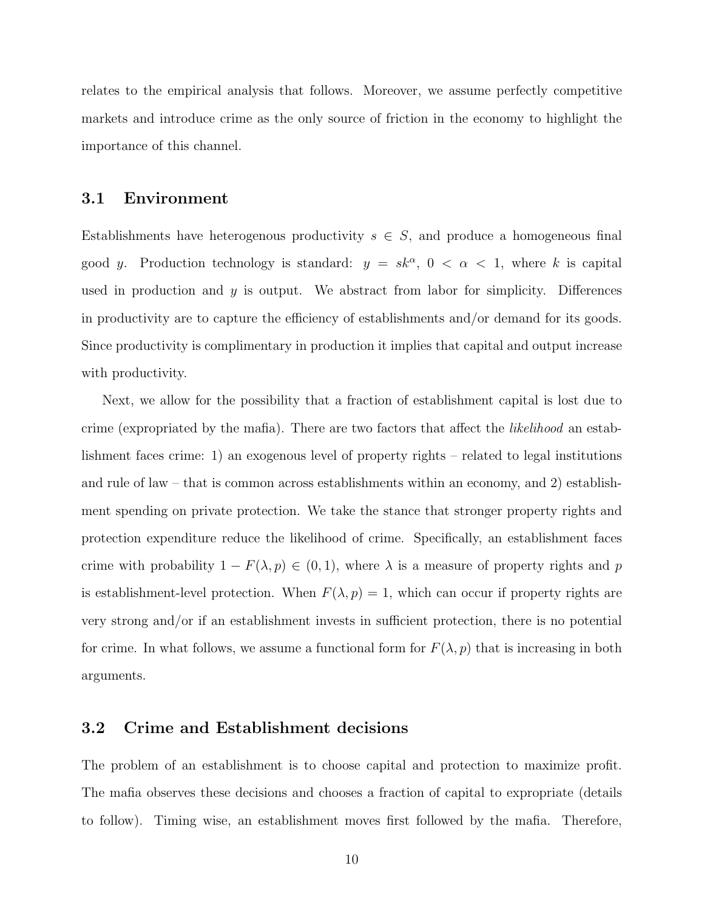relates to the empirical analysis that follows. Moreover, we assume perfectly competitive markets and introduce crime as the only source of friction in the economy to highlight the importance of this channel.

### 3.1 Environment

Establishments have heterogenous productivity  $s \in S$ , and produce a homogeneous final good y. Production technology is standard:  $y = sk^{\alpha}, 0 < \alpha < 1$ , where k is capital used in production and  $y$  is output. We abstract from labor for simplicity. Differences in productivity are to capture the efficiency of establishments and/or demand for its goods. Since productivity is complimentary in production it implies that capital and output increase with productivity.

Next, we allow for the possibility that a fraction of establishment capital is lost due to crime (expropriated by the mafia). There are two factors that affect the likelihood an establishment faces crime: 1) an exogenous level of property rights – related to legal institutions and rule of law – that is common across establishments within an economy, and 2) establishment spending on private protection. We take the stance that stronger property rights and protection expenditure reduce the likelihood of crime. Specifically, an establishment faces crime with probability  $1 - F(\lambda, p) \in (0, 1)$ , where  $\lambda$  is a measure of property rights and p is establishment-level protection. When  $F(\lambda, p) = 1$ , which can occur if property rights are very strong and/or if an establishment invests in sufficient protection, there is no potential for crime. In what follows, we assume a functional form for  $F(\lambda, p)$  that is increasing in both arguments.

#### 3.2 Crime and Establishment decisions

The problem of an establishment is to choose capital and protection to maximize profit. The mafia observes these decisions and chooses a fraction of capital to expropriate (details to follow). Timing wise, an establishment moves first followed by the mafia. Therefore,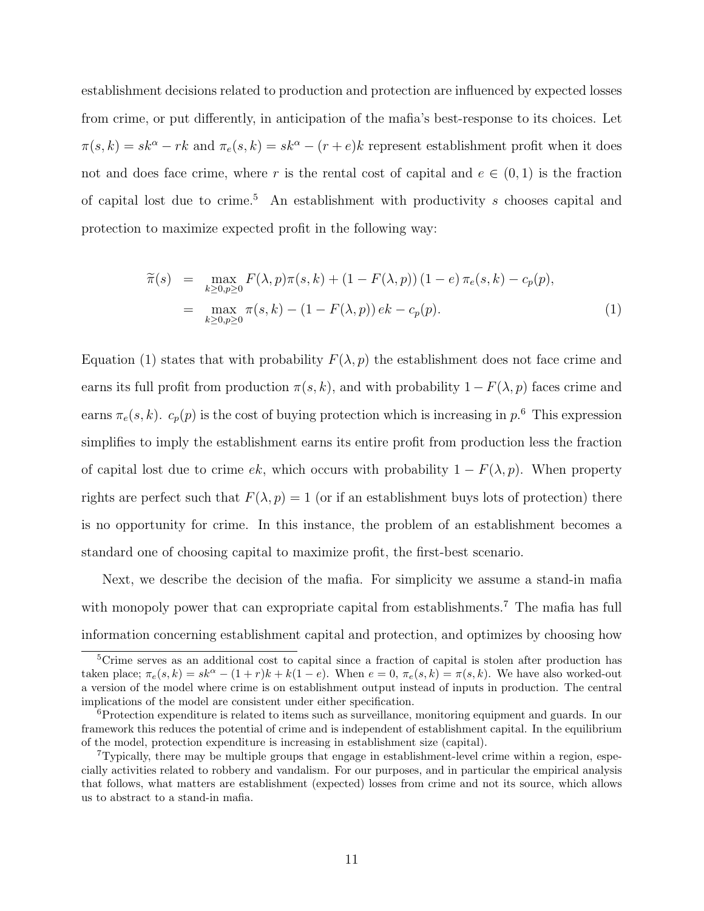establishment decisions related to production and protection are influenced by expected losses from crime, or put differently, in anticipation of the mafia's best-response to its choices. Let  $\pi(s,k) = sk^{\alpha} - rk$  and  $\pi_e(s,k) = sk^{\alpha} - (r+e)k$  represent establishment profit when it does not and does face crime, where r is the rental cost of capital and  $e \in (0,1)$  is the fraction of capital lost due to crime.<sup>5</sup> An establishment with productivity s chooses capital and protection to maximize expected profit in the following way:

$$
\widetilde{\pi}(s) = \max_{k \ge 0, p \ge 0} F(\lambda, p)\pi(s, k) + (1 - F(\lambda, p))(1 - e)\pi_e(s, k) - c_p(p),
$$
  
= 
$$
\max_{k \ge 0, p \ge 0} \pi(s, k) - (1 - F(\lambda, p))ek - c_p(p).
$$
 (1)

Equation (1) states that with probability  $F(\lambda, p)$  the establishment does not face crime and earns its full profit from production  $\pi(s, k)$ , and with probability  $1 - F(\lambda, p)$  faces crime and earns  $\pi_e(s, k)$ .  $c_p(p)$  is the cost of buying protection which is increasing in  $p^0$ . This expression simplifies to imply the establishment earns its entire profit from production less the fraction of capital lost due to crime ek, which occurs with probability  $1 - F(\lambda, p)$ . When property rights are perfect such that  $F(\lambda, p) = 1$  (or if an establishment buys lots of protection) there is no opportunity for crime. In this instance, the problem of an establishment becomes a standard one of choosing capital to maximize profit, the first-best scenario.

Next, we describe the decision of the mafia. For simplicity we assume a stand-in mafia with monopoly power that can expropriate capital from establishments.<sup>7</sup> The mafia has full information concerning establishment capital and protection, and optimizes by choosing how

<sup>&</sup>lt;sup>5</sup>Crime serves as an additional cost to capital since a fraction of capital is stolen after production has taken place;  $\pi_e(s, k) = sk^{\alpha} - (1+r)k + k(1-e)$ . When  $e = 0$ ,  $\pi_e(s, k) = \pi(s, k)$ . We have also worked-out a version of the model where crime is on establishment output instead of inputs in production. The central implications of the model are consistent under either specification.

<sup>6</sup>Protection expenditure is related to items such as surveillance, monitoring equipment and guards. In our framework this reduces the potential of crime and is independent of establishment capital. In the equilibrium of the model, protection expenditure is increasing in establishment size (capital).

<sup>7</sup>Typically, there may be multiple groups that engage in establishment-level crime within a region, especially activities related to robbery and vandalism. For our purposes, and in particular the empirical analysis that follows, what matters are establishment (expected) losses from crime and not its source, which allows us to abstract to a stand-in mafia.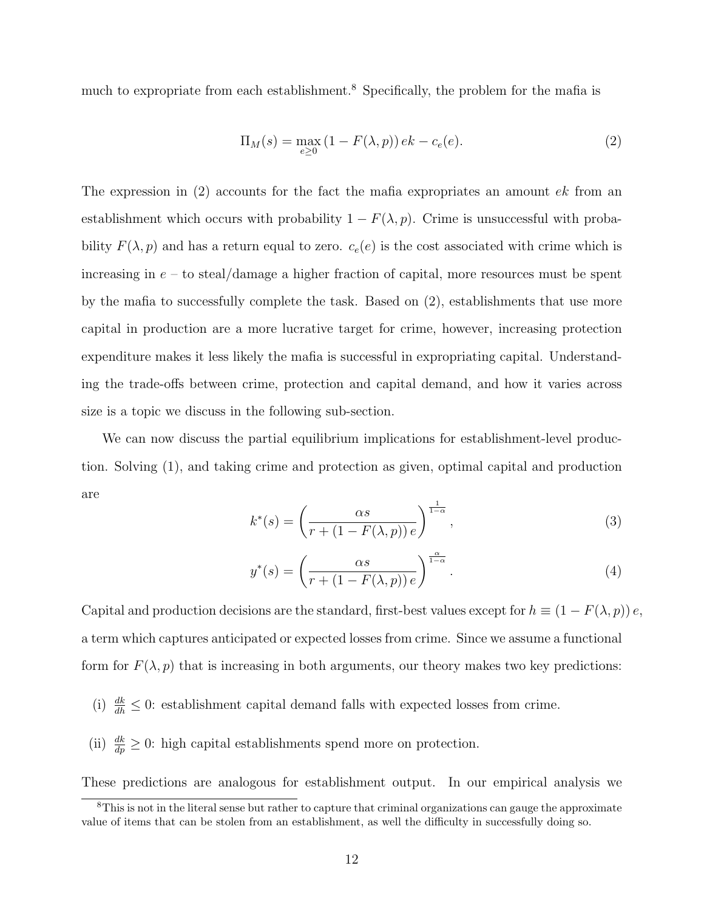much to expropriate from each establishment.<sup>8</sup> Specifically, the problem for the mafia is

$$
\Pi_M(s) = \max_{e \ge 0} (1 - F(\lambda, p)) ek - c_e(e).
$$
 (2)

The expression in (2) accounts for the fact the mafia expropriates an amount  $ek$  from an establishment which occurs with probability  $1 - F(\lambda, p)$ . Crime is unsuccessful with probability  $F(\lambda, p)$  and has a return equal to zero.  $c_e(e)$  is the cost associated with crime which is increasing in  $e$  – to steal/damage a higher fraction of capital, more resources must be spent by the mafia to successfully complete the task. Based on (2), establishments that use more capital in production are a more lucrative target for crime, however, increasing protection expenditure makes it less likely the mafia is successful in expropriating capital. Understanding the trade-offs between crime, protection and capital demand, and how it varies across size is a topic we discuss in the following sub-section.

We can now discuss the partial equilibrium implications for establishment-level production. Solving (1), and taking crime and protection as given, optimal capital and production are

$$
k^*(s) = \left(\frac{\alpha s}{r + (1 - F(\lambda, p))e}\right)^{\frac{1}{1-\alpha}},\tag{3}
$$

$$
y^*(s) = \left(\frac{\alpha s}{r + (1 - F(\lambda, p)) e}\right)^{\frac{\alpha}{1 - \alpha}}.
$$
\n(4)

Capital and production decisions are the standard, first-best values except for  $h \equiv (1 - F(\lambda, p)) e$ , a term which captures anticipated or expected losses from crime. Since we assume a functional form for  $F(\lambda, p)$  that is increasing in both arguments, our theory makes two key predictions:

- (i)  $\frac{dk}{dh} \leq 0$ : establishment capital demand falls with expected losses from crime.
- (ii)  $\frac{dk}{dp} \geq 0$ : high capital establishments spend more on protection.

These predictions are analogous for establishment output. In our empirical analysis we

<sup>&</sup>lt;sup>8</sup>This is not in the literal sense but rather to capture that criminal organizations can gauge the approximate value of items that can be stolen from an establishment, as well the difficulty in successfully doing so.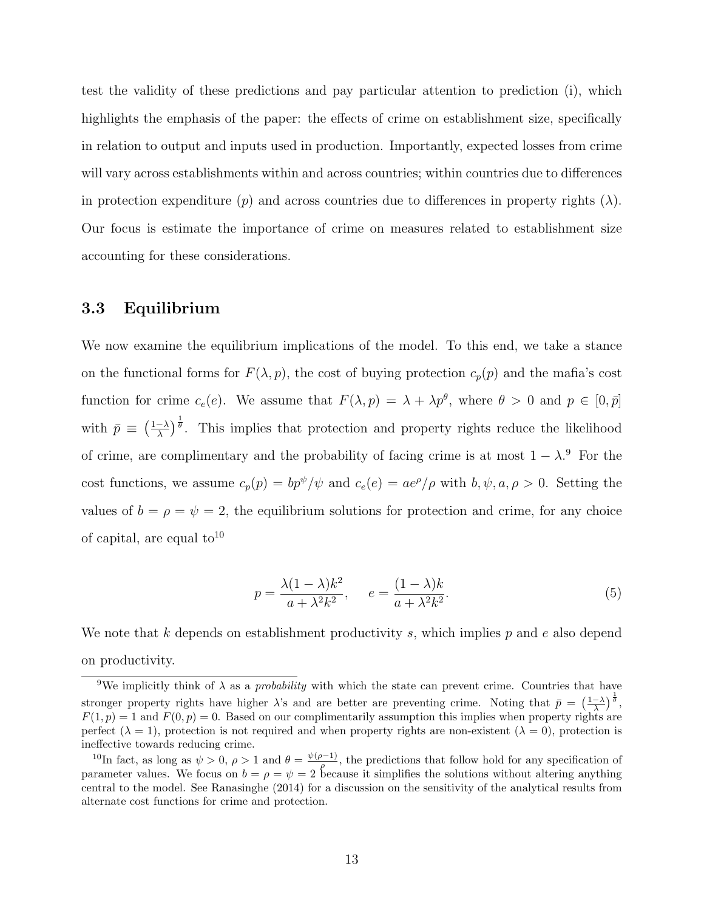test the validity of these predictions and pay particular attention to prediction (i), which highlights the emphasis of the paper: the effects of crime on establishment size, specifically in relation to output and inputs used in production. Importantly, expected losses from crime will vary across establishments within and across countries; within countries due to differences in protection expenditure (p) and across countries due to differences in property rights  $(\lambda)$ . Our focus is estimate the importance of crime on measures related to establishment size accounting for these considerations.

#### 3.3 Equilibrium

We now examine the equilibrium implications of the model. To this end, we take a stance on the functional forms for  $F(\lambda, p)$ , the cost of buying protection  $c_p(p)$  and the mafia's cost function for crime  $c_e(e)$ . We assume that  $F(\lambda, p) = \lambda + \lambda p^{\theta}$ , where  $\theta > 0$  and  $p \in [0, \bar{p}]$ with  $\bar{p} \equiv \left(\frac{1-\lambda}{\lambda}\right)$  $\left(\frac{-\lambda}{\lambda}\right)^{\frac{1}{\theta}}$ . This implies that protection and property rights reduce the likelihood of crime, are complimentary and the probability of facing crime is at most  $1 - \lambda$ .<sup>9</sup> For the cost functions, we assume  $c_p(p) = bp^{\psi}/\psi$  and  $c_e(e) = ae^{\rho}/\rho$  with  $b, \psi, a, \rho > 0$ . Setting the values of  $b = \rho = \psi = 2$ , the equilibrium solutions for protection and crime, for any choice of capital, are equal to<sup>10</sup>

$$
p = \frac{\lambda(1-\lambda)k^2}{a+\lambda^2k^2}, \qquad e = \frac{(1-\lambda)k}{a+\lambda^2k^2}.
$$
 (5)

We note that k depends on establishment productivity s, which implies p and e also depend on productivity.

<sup>&</sup>lt;sup>9</sup>We implicitly think of  $\lambda$  as a *probability* with which the state can prevent crime. Countries that have stronger property rights have higher  $\lambda$ 's and are better are preventing crime. Noting that  $\bar{p} = \left(\frac{1-\lambda}{\lambda}\right)^{\frac{1}{\bar{p}}},$  $F(1, p) = 1$  and  $F(0, p) = 0$ . Based on our complimentarily assumption this implies when property rights are perfect  $(\lambda = 1)$ , protection is not required and when property rights are non-existent  $(\lambda = 0)$ , protection is ineffective towards reducing crime.

<sup>&</sup>lt;sup>10</sup>In fact, as long as  $\psi > 0$ ,  $\rho > 1$  and  $\theta = \frac{\psi(\rho-1)}{2}$  $\frac{p-1}{p}$ , the predictions that follow hold for any specification of parameter values. We focus on  $b = \rho = \psi = 2$  because it simplifies the solutions without altering anything central to the model. See Ranasinghe (2014) for a discussion on the sensitivity of the analytical results from alternate cost functions for crime and protection.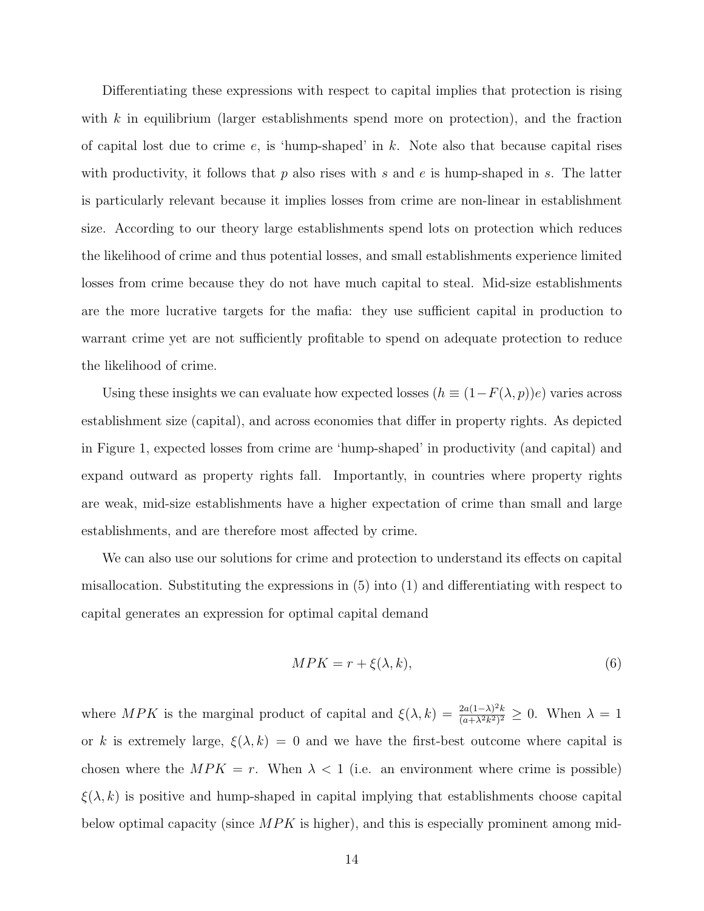Differentiating these expressions with respect to capital implies that protection is rising with k in equilibrium (larger establishments spend more on protection), and the fraction of capital lost due to crime  $e$ , is 'hump-shaped' in k. Note also that because capital rises with productivity, it follows that p also rises with s and e is hump-shaped in s. The latter is particularly relevant because it implies losses from crime are non-linear in establishment size. According to our theory large establishments spend lots on protection which reduces the likelihood of crime and thus potential losses, and small establishments experience limited losses from crime because they do not have much capital to steal. Mid-size establishments are the more lucrative targets for the mafia: they use sufficient capital in production to warrant crime yet are not sufficiently profitable to spend on adequate protection to reduce the likelihood of crime.

Using these insights we can evaluate how expected losses  $(h \equiv (1 - F(\lambda, p))e)$  varies across establishment size (capital), and across economies that differ in property rights. As depicted in Figure 1, expected losses from crime are 'hump-shaped' in productivity (and capital) and expand outward as property rights fall. Importantly, in countries where property rights are weak, mid-size establishments have a higher expectation of crime than small and large establishments, and are therefore most affected by crime.

We can also use our solutions for crime and protection to understand its effects on capital misallocation. Substituting the expressions in (5) into (1) and differentiating with respect to capital generates an expression for optimal capital demand

$$
MPK = r + \xi(\lambda, k),\tag{6}
$$

where MPK is the marginal product of capital and  $\xi(\lambda, k) = \frac{2a(1-\lambda)^2 k}{(a+\lambda)^2 k^2}$  $\frac{2a(1-\lambda)^2 k}{(a+\lambda^2 k^2)^2} \geq 0$ . When  $\lambda = 1$ or k is extremely large,  $\xi(\lambda, k) = 0$  and we have the first-best outcome where capital is chosen where the  $MPK = r$ . When  $\lambda < 1$  (i.e. an environment where crime is possible)  $\xi(\lambda, k)$  is positive and hump-shaped in capital implying that establishments choose capital below optimal capacity (since  $MPK$  is higher), and this is especially prominent among mid-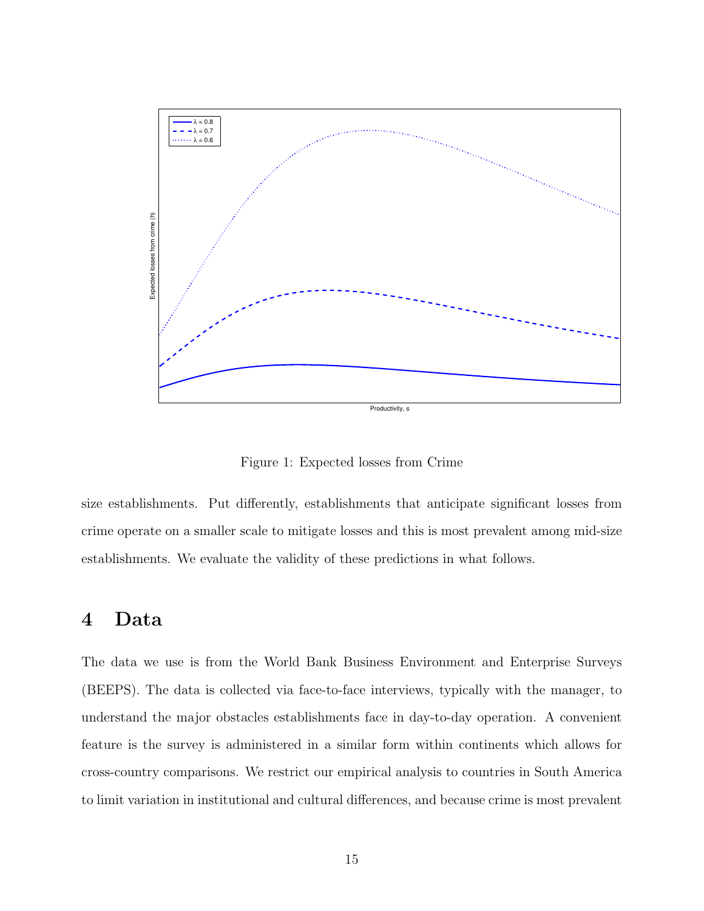

Figure 1: Expected losses from Crime

size establishments. Put differently, establishments that anticipate significant losses from crime operate on a smaller scale to mitigate losses and this is most prevalent among mid-size establishments. We evaluate the validity of these predictions in what follows.

### 4 Data

The data we use is from the World Bank Business Environment and Enterprise Surveys (BEEPS). The data is collected via face-to-face interviews, typically with the manager, to understand the major obstacles establishments face in day-to-day operation. A convenient feature is the survey is administered in a similar form within continents which allows for cross-country comparisons. We restrict our empirical analysis to countries in South America to limit variation in institutional and cultural differences, and because crime is most prevalent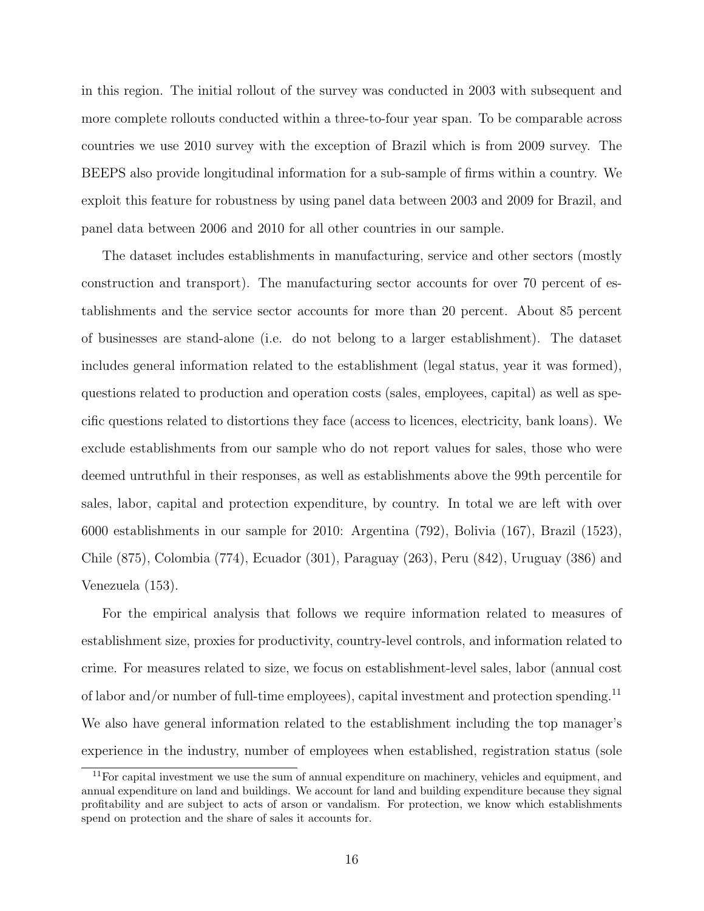in this region. The initial rollout of the survey was conducted in 2003 with subsequent and more complete rollouts conducted within a three-to-four year span. To be comparable across countries we use 2010 survey with the exception of Brazil which is from 2009 survey. The BEEPS also provide longitudinal information for a sub-sample of firms within a country. We exploit this feature for robustness by using panel data between 2003 and 2009 for Brazil, and panel data between 2006 and 2010 for all other countries in our sample.

The dataset includes establishments in manufacturing, service and other sectors (mostly construction and transport). The manufacturing sector accounts for over 70 percent of establishments and the service sector accounts for more than 20 percent. About 85 percent of businesses are stand-alone (i.e. do not belong to a larger establishment). The dataset includes general information related to the establishment (legal status, year it was formed), questions related to production and operation costs (sales, employees, capital) as well as specific questions related to distortions they face (access to licences, electricity, bank loans). We exclude establishments from our sample who do not report values for sales, those who were deemed untruthful in their responses, as well as establishments above the 99th percentile for sales, labor, capital and protection expenditure, by country. In total we are left with over 6000 establishments in our sample for 2010: Argentina (792), Bolivia (167), Brazil (1523), Chile (875), Colombia (774), Ecuador (301), Paraguay (263), Peru (842), Uruguay (386) and Venezuela (153).

For the empirical analysis that follows we require information related to measures of establishment size, proxies for productivity, country-level controls, and information related to crime. For measures related to size, we focus on establishment-level sales, labor (annual cost of labor and/or number of full-time employees), capital investment and protection spending.<sup>11</sup> We also have general information related to the establishment including the top manager's experience in the industry, number of employees when established, registration status (sole

<sup>&</sup>lt;sup>11</sup>For capital investment we use the sum of annual expenditure on machinery, vehicles and equipment, and annual expenditure on land and buildings. We account for land and building expenditure because they signal profitability and are subject to acts of arson or vandalism. For protection, we know which establishments spend on protection and the share of sales it accounts for.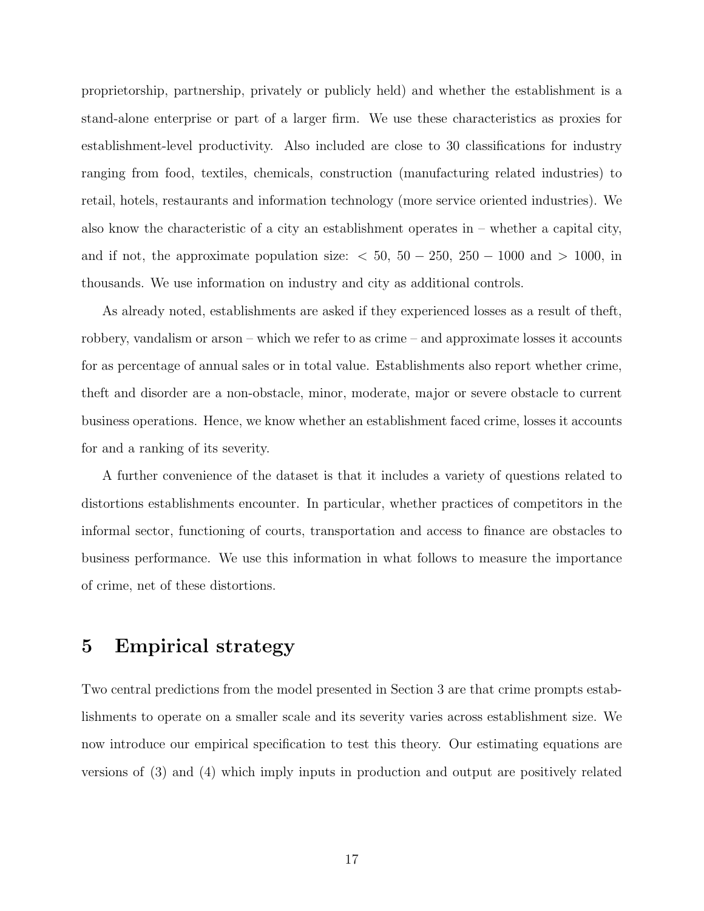proprietorship, partnership, privately or publicly held) and whether the establishment is a stand-alone enterprise or part of a larger firm. We use these characteristics as proxies for establishment-level productivity. Also included are close to 30 classifications for industry ranging from food, textiles, chemicals, construction (manufacturing related industries) to retail, hotels, restaurants and information technology (more service oriented industries). We also know the characteristic of a city an establishment operates in  $-$  whether a capital city, and if not, the approximate population size:  $< 50, 50 - 250, 250 - 1000$  and  $> 1000$ , in thousands. We use information on industry and city as additional controls.

As already noted, establishments are asked if they experienced losses as a result of theft, robbery, vandalism or arson – which we refer to as crime – and approximate losses it accounts for as percentage of annual sales or in total value. Establishments also report whether crime, theft and disorder are a non-obstacle, minor, moderate, major or severe obstacle to current business operations. Hence, we know whether an establishment faced crime, losses it accounts for and a ranking of its severity.

A further convenience of the dataset is that it includes a variety of questions related to distortions establishments encounter. In particular, whether practices of competitors in the informal sector, functioning of courts, transportation and access to finance are obstacles to business performance. We use this information in what follows to measure the importance of crime, net of these distortions.

# 5 Empirical strategy

Two central predictions from the model presented in Section 3 are that crime prompts establishments to operate on a smaller scale and its severity varies across establishment size. We now introduce our empirical specification to test this theory. Our estimating equations are versions of (3) and (4) which imply inputs in production and output are positively related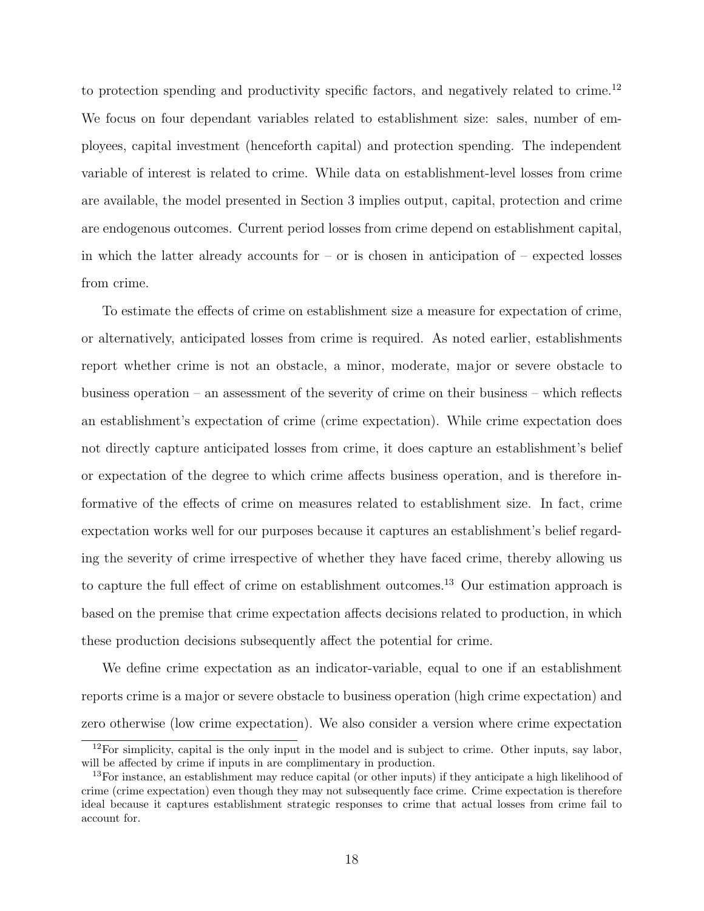to protection spending and productivity specific factors, and negatively related to crime.<sup>12</sup> We focus on four dependant variables related to establishment size: sales, number of employees, capital investment (henceforth capital) and protection spending. The independent variable of interest is related to crime. While data on establishment-level losses from crime are available, the model presented in Section 3 implies output, capital, protection and crime are endogenous outcomes. Current period losses from crime depend on establishment capital, in which the latter already accounts for  $-$  or is chosen in anticipation of  $-$  expected losses from crime.

To estimate the effects of crime on establishment size a measure for expectation of crime, or alternatively, anticipated losses from crime is required. As noted earlier, establishments report whether crime is not an obstacle, a minor, moderate, major or severe obstacle to business operation – an assessment of the severity of crime on their business – which reflects an establishment's expectation of crime (crime expectation). While crime expectation does not directly capture anticipated losses from crime, it does capture an establishment's belief or expectation of the degree to which crime affects business operation, and is therefore informative of the effects of crime on measures related to establishment size. In fact, crime expectation works well for our purposes because it captures an establishment's belief regarding the severity of crime irrespective of whether they have faced crime, thereby allowing us to capture the full effect of crime on establishment outcomes.<sup>13</sup> Our estimation approach is based on the premise that crime expectation affects decisions related to production, in which these production decisions subsequently affect the potential for crime.

We define crime expectation as an indicator-variable, equal to one if an establishment reports crime is a major or severe obstacle to business operation (high crime expectation) and zero otherwise (low crime expectation). We also consider a version where crime expectation

 $12$ For simplicity, capital is the only input in the model and is subject to crime. Other inputs, say labor, will be affected by crime if inputs in are complimentary in production.

<sup>&</sup>lt;sup>13</sup>For instance, an establishment may reduce capital (or other inputs) if they anticipate a high likelihood of crime (crime expectation) even though they may not subsequently face crime. Crime expectation is therefore ideal because it captures establishment strategic responses to crime that actual losses from crime fail to account for.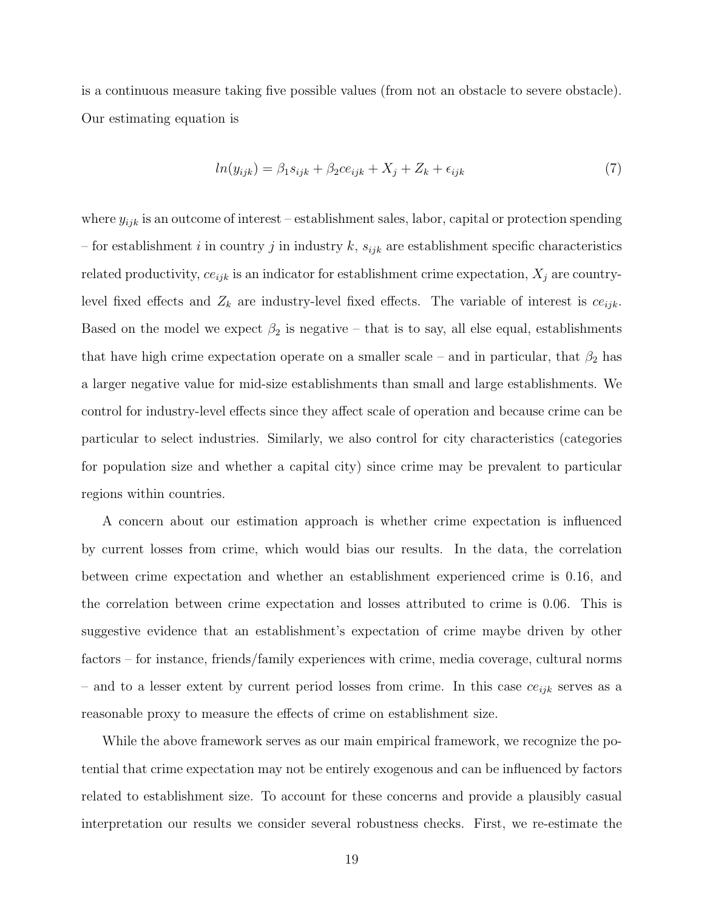is a continuous measure taking five possible values (from not an obstacle to severe obstacle). Our estimating equation is

$$
ln(y_{ijk}) = \beta_1 s_{ijk} + \beta_2 c e_{ijk} + X_j + Z_k + \epsilon_{ijk}
$$
\n<sup>(7)</sup>

where  $y_{ijk}$  is an outcome of interest – establishment sales, labor, capital or protection spending – for establishment i in country j in industry k,  $s_{ijk}$  are establishment specific characteristics related productivity,  $ce_{ijk}$  is an indicator for establishment crime expectation,  $X_j$  are countrylevel fixed effects and  $Z_k$  are industry-level fixed effects. The variable of interest is  $ce_{ijk}$ . Based on the model we expect  $\beta_2$  is negative – that is to say, all else equal, establishments that have high crime expectation operate on a smaller scale – and in particular, that  $\beta_2$  has a larger negative value for mid-size establishments than small and large establishments. We control for industry-level effects since they affect scale of operation and because crime can be particular to select industries. Similarly, we also control for city characteristics (categories for population size and whether a capital city) since crime may be prevalent to particular regions within countries.

A concern about our estimation approach is whether crime expectation is influenced by current losses from crime, which would bias our results. In the data, the correlation between crime expectation and whether an establishment experienced crime is 0.16, and the correlation between crime expectation and losses attributed to crime is 0.06. This is suggestive evidence that an establishment's expectation of crime maybe driven by other factors – for instance, friends/family experiences with crime, media coverage, cultural norms – and to a lesser extent by current period losses from crime. In this case  $ce_{ijk}$  serves as a reasonable proxy to measure the effects of crime on establishment size.

While the above framework serves as our main empirical framework, we recognize the potential that crime expectation may not be entirely exogenous and can be influenced by factors related to establishment size. To account for these concerns and provide a plausibly casual interpretation our results we consider several robustness checks. First, we re-estimate the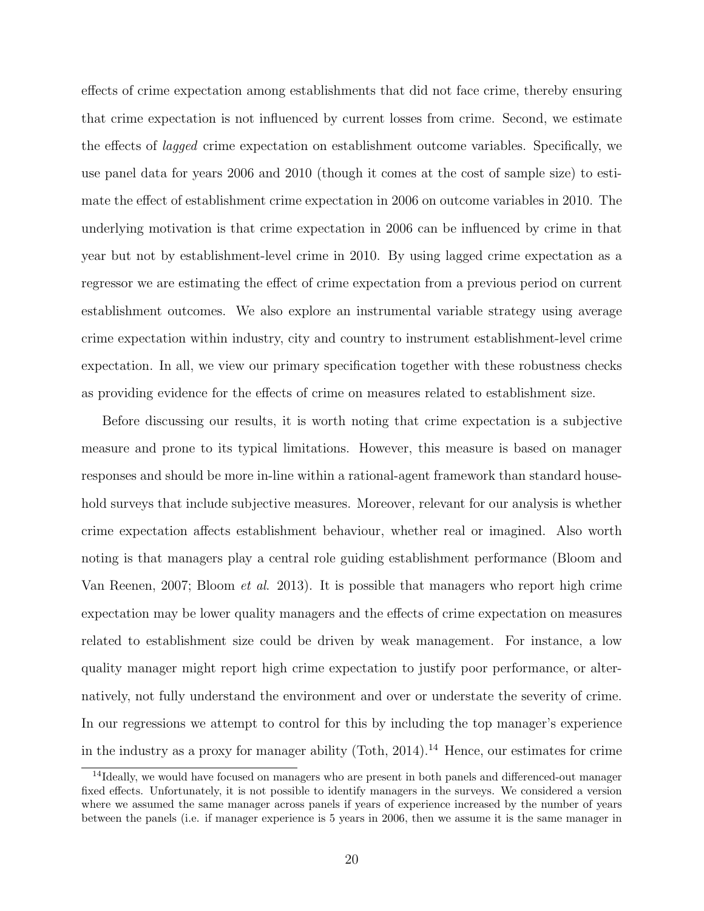effects of crime expectation among establishments that did not face crime, thereby ensuring that crime expectation is not influenced by current losses from crime. Second, we estimate the effects of lagged crime expectation on establishment outcome variables. Specifically, we use panel data for years 2006 and 2010 (though it comes at the cost of sample size) to estimate the effect of establishment crime expectation in 2006 on outcome variables in 2010. The underlying motivation is that crime expectation in 2006 can be influenced by crime in that year but not by establishment-level crime in 2010. By using lagged crime expectation as a regressor we are estimating the effect of crime expectation from a previous period on current establishment outcomes. We also explore an instrumental variable strategy using average crime expectation within industry, city and country to instrument establishment-level crime expectation. In all, we view our primary specification together with these robustness checks as providing evidence for the effects of crime on measures related to establishment size.

Before discussing our results, it is worth noting that crime expectation is a subjective measure and prone to its typical limitations. However, this measure is based on manager responses and should be more in-line within a rational-agent framework than standard household surveys that include subjective measures. Moreover, relevant for our analysis is whether crime expectation affects establishment behaviour, whether real or imagined. Also worth noting is that managers play a central role guiding establishment performance (Bloom and Van Reenen, 2007; Bloom et al. 2013). It is possible that managers who report high crime expectation may be lower quality managers and the effects of crime expectation on measures related to establishment size could be driven by weak management. For instance, a low quality manager might report high crime expectation to justify poor performance, or alternatively, not fully understand the environment and over or understate the severity of crime. In our regressions we attempt to control for this by including the top manager's experience in the industry as a proxy for manager ability (Toth,  $2014$ ).<sup>14</sup> Hence, our estimates for crime

<sup>&</sup>lt;sup>14</sup>Ideally, we would have focused on managers who are present in both panels and differenced-out manager fixed effects. Unfortunately, it is not possible to identify managers in the surveys. We considered a version where we assumed the same manager across panels if years of experience increased by the number of years between the panels (i.e. if manager experience is 5 years in 2006, then we assume it is the same manager in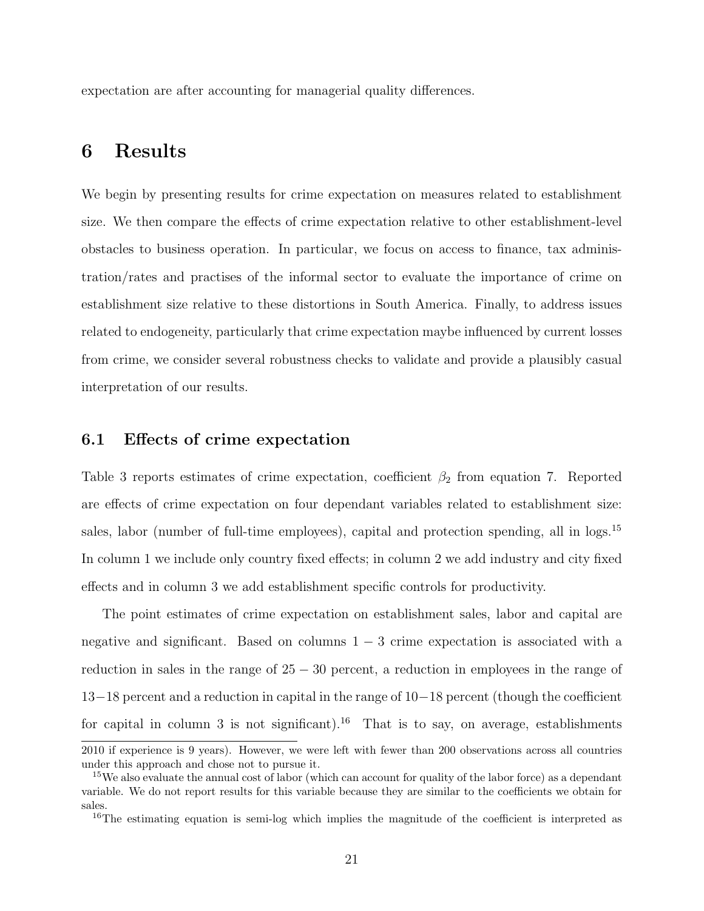expectation are after accounting for managerial quality differences.

## 6 Results

We begin by presenting results for crime expectation on measures related to establishment size. We then compare the effects of crime expectation relative to other establishment-level obstacles to business operation. In particular, we focus on access to finance, tax administration/rates and practises of the informal sector to evaluate the importance of crime on establishment size relative to these distortions in South America. Finally, to address issues related to endogeneity, particularly that crime expectation maybe influenced by current losses from crime, we consider several robustness checks to validate and provide a plausibly casual interpretation of our results.

### 6.1 Effects of crime expectation

Table 3 reports estimates of crime expectation, coefficient  $\beta_2$  from equation 7. Reported are effects of crime expectation on four dependant variables related to establishment size: sales, labor (number of full-time employees), capital and protection spending, all in logs.<sup>15</sup> In column 1 we include only country fixed effects; in column 2 we add industry and city fixed effects and in column 3 we add establishment specific controls for productivity.

The point estimates of crime expectation on establishment sales, labor and capital are negative and significant. Based on columns  $1 - 3$  crime expectation is associated with a reduction in sales in the range of  $25 - 30$  percent, a reduction in employees in the range of 13−18 percent and a reduction in capital in the range of 10−18 percent (though the coefficient for capital in column 3 is not significant).<sup>16</sup> That is to say, on average, establishments

<sup>2010</sup> if experience is 9 years). However, we were left with fewer than 200 observations across all countries under this approach and chose not to pursue it.

<sup>&</sup>lt;sup>15</sup>We also evaluate the annual cost of labor (which can account for quality of the labor force) as a dependant variable. We do not report results for this variable because they are similar to the coefficients we obtain for sales.

<sup>&</sup>lt;sup>16</sup>The estimating equation is semi-log which implies the magnitude of the coefficient is interpreted as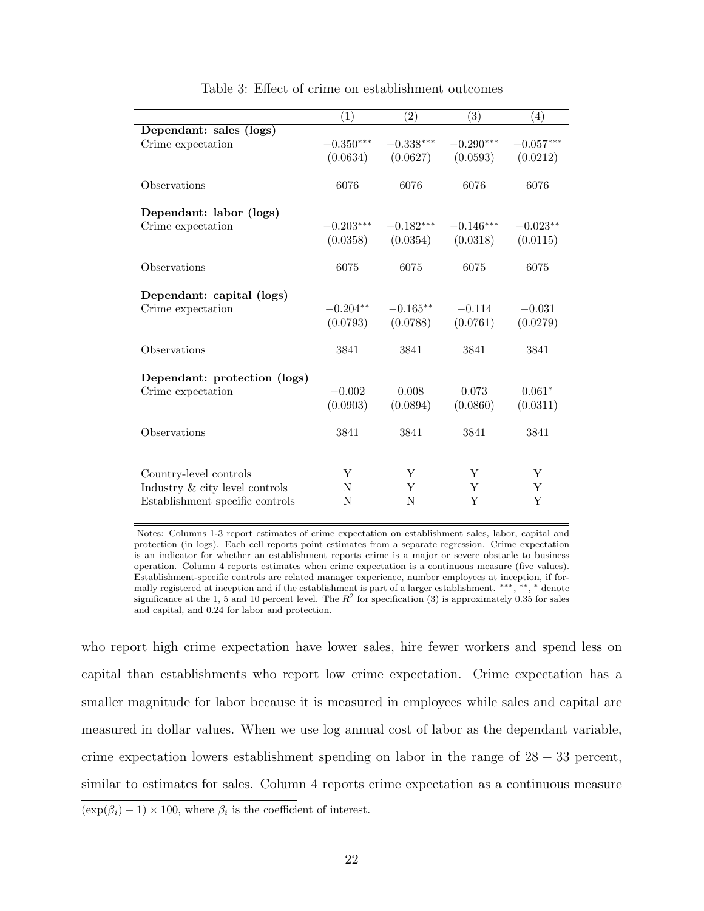|                                 | (1)         | $\overline{(2)}$ | $\overline{(3)}$ | (4)         |
|---------------------------------|-------------|------------------|------------------|-------------|
| Dependant: sales (logs)         |             |                  |                  |             |
| Crime expectation               | $-0.350***$ | $-0.338***$      | $-0.290***$      | $-0.057***$ |
|                                 | (0.0634)    | (0.0627)         | (0.0593)         | (0.0212)    |
| Observations                    | 6076        | 6076             | 6076             | 6076        |
| Dependant: labor (logs)         |             |                  |                  |             |
| Crime expectation               | $-0.203***$ | $-0.182***$      | $-0.146***$      | $-0.023**$  |
|                                 | (0.0358)    | (0.0354)         | (0.0318)         | (0.0115)    |
|                                 |             |                  |                  |             |
| Observations                    | 6075        | 6075             | 6075             | 6075        |
|                                 |             |                  |                  |             |
| Dependant: capital (logs)       |             |                  |                  |             |
| Crime expectation               | $-0.204**$  | $-0.165**$       | $-0.114$         | $-0.031$    |
|                                 | (0.0793)    | (0.0788)         | (0.0761)         | (0.0279)    |
| Observations                    | 3841        | 3841             | 3841             | 3841        |
|                                 |             |                  |                  |             |
| Dependant: protection (logs)    |             |                  |                  |             |
| Crime expectation               | $-0.002$    | 0.008            | 0.073            | $0.061*$    |
|                                 | (0.0903)    | (0.0894)         | (0.0860)         | (0.0311)    |
| Observations                    | 3841        | 3841             | 3841             | 3841        |
| Country-level controls          | Y           | Y                | Y                | Y           |
| Industry & city level controls  | N           | Y                | Y                | Υ           |
| Establishment specific controls | N           | N                | Y                | Y           |
|                                 |             |                  |                  |             |

Table 3: Effect of crime on establishment outcomes

Notes: Columns 1-3 report estimates of crime expectation on establishment sales, labor, capital and protection (in logs). Each cell reports point estimates from a separate regression. Crime expectation is an indicator for whether an establishment reports crime is a major or severe obstacle to business operation. Column 4 reports estimates when crime expectation is a continuous measure (five values). Establishment-specific controls are related manager experience, number employees at inception, if formally registered at inception and if the establishment is part of a larger establishment. \*\*\*, \*\*, \* denote significance at the 1, 5 and 10 percent level. The  $R^2$  for specification (3) is approximately 0.35 for sales and capital, and 0.24 for labor and protection.

who report high crime expectation have lower sales, hire fewer workers and spend less on capital than establishments who report low crime expectation. Crime expectation has a smaller magnitude for labor because it is measured in employees while sales and capital are measured in dollar values. When we use log annual cost of labor as the dependant variable, crime expectation lowers establishment spending on labor in the range of  $28 - 33$  percent, similar to estimates for sales. Column 4 reports crime expectation as a continuous measure

 $(\exp(\beta_i) - 1) \times 100$ , where  $\beta_i$  is the coefficient of interest.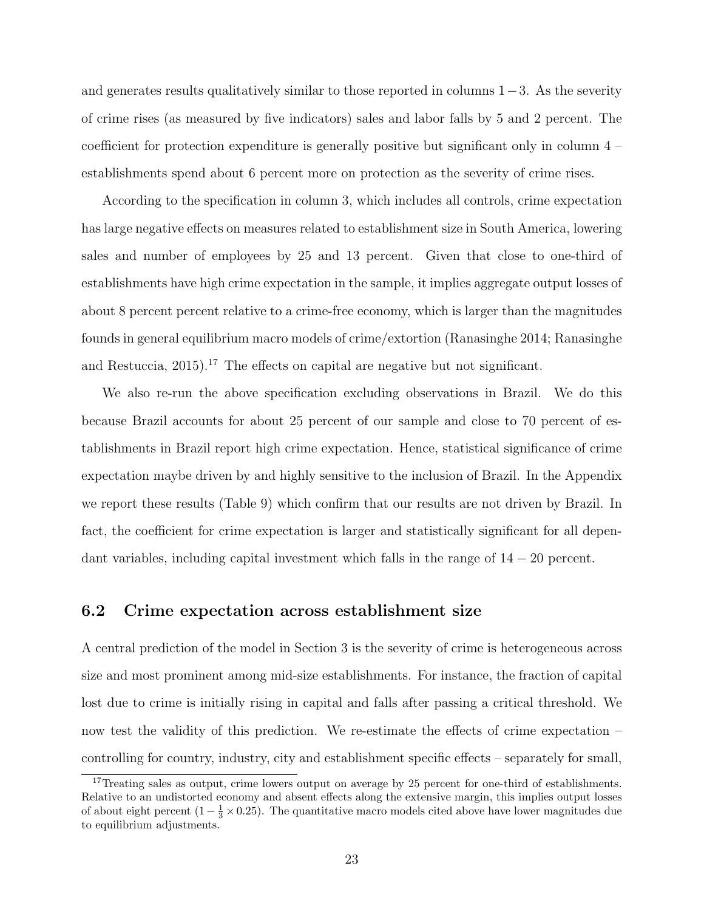and generates results qualitatively similar to those reported in columns 1−3. As the severity of crime rises (as measured by five indicators) sales and labor falls by 5 and 2 percent. The coefficient for protection expenditure is generally positive but significant only in column 4 – establishments spend about 6 percent more on protection as the severity of crime rises.

According to the specification in column 3, which includes all controls, crime expectation has large negative effects on measures related to establishment size in South America, lowering sales and number of employees by 25 and 13 percent. Given that close to one-third of establishments have high crime expectation in the sample, it implies aggregate output losses of about 8 percent percent relative to a crime-free economy, which is larger than the magnitudes founds in general equilibrium macro models of crime/extortion (Ranasinghe 2014; Ranasinghe and Restuccia,  $2015$ ).<sup>17</sup> The effects on capital are negative but not significant.

We also re-run the above specification excluding observations in Brazil. We do this because Brazil accounts for about 25 percent of our sample and close to 70 percent of establishments in Brazil report high crime expectation. Hence, statistical significance of crime expectation maybe driven by and highly sensitive to the inclusion of Brazil. In the Appendix we report these results (Table 9) which confirm that our results are not driven by Brazil. In fact, the coefficient for crime expectation is larger and statistically significant for all dependant variables, including capital investment which falls in the range of  $14 - 20$  percent.

#### 6.2 Crime expectation across establishment size

A central prediction of the model in Section 3 is the severity of crime is heterogeneous across size and most prominent among mid-size establishments. For instance, the fraction of capital lost due to crime is initially rising in capital and falls after passing a critical threshold. We now test the validity of this prediction. We re-estimate the effects of crime expectation – controlling for country, industry, city and establishment specific effects – separately for small,

 $17$ Treating sales as output, crime lowers output on average by 25 percent for one-third of establishments. Relative to an undistorted economy and absent effects along the extensive margin, this implies output losses of about eight percent  $(1 - \frac{1}{3} \times 0.25)$ . The quantitative macro models cited above have lower magnitudes due to equilibrium adjustments.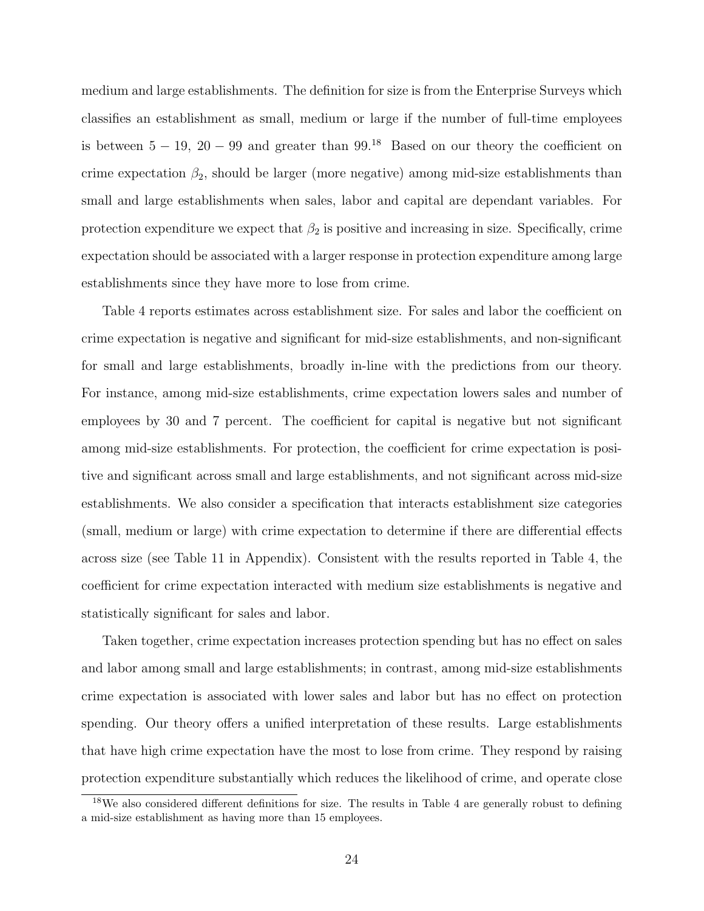medium and large establishments. The definition for size is from the Enterprise Surveys which classifies an establishment as small, medium or large if the number of full-time employees is between  $5 - 19$ ,  $20 - 99$  and greater than  $99<sup>18</sup>$  Based on our theory the coefficient on crime expectation  $\beta_2$ , should be larger (more negative) among mid-size establishments than small and large establishments when sales, labor and capital are dependant variables. For protection expenditure we expect that  $\beta_2$  is positive and increasing in size. Specifically, crime expectation should be associated with a larger response in protection expenditure among large establishments since they have more to lose from crime.

Table 4 reports estimates across establishment size. For sales and labor the coefficient on crime expectation is negative and significant for mid-size establishments, and non-significant for small and large establishments, broadly in-line with the predictions from our theory. For instance, among mid-size establishments, crime expectation lowers sales and number of employees by 30 and 7 percent. The coefficient for capital is negative but not significant among mid-size establishments. For protection, the coefficient for crime expectation is positive and significant across small and large establishments, and not significant across mid-size establishments. We also consider a specification that interacts establishment size categories (small, medium or large) with crime expectation to determine if there are differential effects across size (see Table 11 in Appendix). Consistent with the results reported in Table 4, the coefficient for crime expectation interacted with medium size establishments is negative and statistically significant for sales and labor.

Taken together, crime expectation increases protection spending but has no effect on sales and labor among small and large establishments; in contrast, among mid-size establishments crime expectation is associated with lower sales and labor but has no effect on protection spending. Our theory offers a unified interpretation of these results. Large establishments that have high crime expectation have the most to lose from crime. They respond by raising protection expenditure substantially which reduces the likelihood of crime, and operate close

<sup>&</sup>lt;sup>18</sup>We also considered different definitions for size. The results in Table 4 are generally robust to defining a mid-size establishment as having more than 15 employees.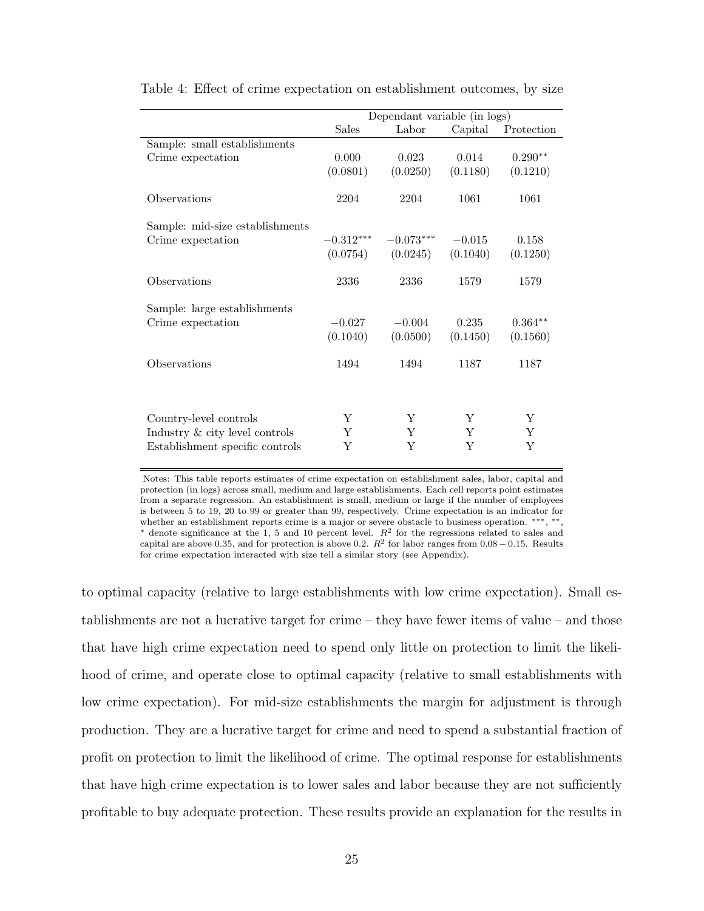|                                 | Dependant variable (in logs) |             |          |            |  |
|---------------------------------|------------------------------|-------------|----------|------------|--|
|                                 | Sales                        | Labor       | Capital  | Protection |  |
| Sample: small establishments    |                              |             |          |            |  |
| Crime expectation               | 0.000                        | 0.023       | 0.014    | $0.290**$  |  |
|                                 | (0.0801)                     | (0.0250)    | (0.1180) | (0.1210)   |  |
|                                 |                              |             |          |            |  |
| Observations                    | 2204                         | 2204        | 1061     | 1061       |  |
| Sample: mid-size establishments |                              |             |          |            |  |
| Crime expectation               | $-0.312***$                  | $-0.073***$ | $-0.015$ | 0.158      |  |
|                                 | (0.0754)                     | (0.0245)    | (0.1040) | (0.1250)   |  |
|                                 |                              |             |          |            |  |
| Observations                    | 2336                         | 2336        | 1579     | 1579       |  |
| Sample: large establishments    |                              |             |          |            |  |
| Crime expectation               | $-0.027$                     | $-0.004$    | 0.235    | $0.364**$  |  |
|                                 | (0.1040)                     | (0.0500)    | (0.1450) | (0.1560)   |  |
| Observations                    | 1494                         | 1494        | 1187     | 1187       |  |
|                                 |                              |             |          |            |  |
|                                 |                              |             |          |            |  |
| Country-level controls          | Y                            | Y           | Y        | Y          |  |
| Industry & city level controls  | Υ                            | Y           | Υ        | Υ          |  |
| Establishment specific controls | Y                            | Y           | Y        | Y          |  |
|                                 |                              |             |          |            |  |

Table 4: Effect of crime expectation on establishment outcomes, by size

to optimal capacity (relative to large establishments with low crime expectation). Small establishments are not a lucrative target for crime – they have fewer items of value – and those that have high crime expectation need to spend only little on protection to limit the likelihood of crime, and operate close to optimal capacity (relative to small establishments with low crime expectation). For mid-size establishments the margin for adjustment is through production. They are a lucrative target for crime and need to spend a substantial fraction of profit on protection to limit the likelihood of crime. The optimal response for establishments that have high crime expectation is to lower sales and labor because they are not sufficiently profitable to buy adequate protection. These results provide an explanation for the results in

Notes: This table reports estimates of crime expectation on establishment sales, labor, capital and protection (in logs) across small, medium and large establishments. Each cell reports point estimates from a separate regression. An establishment is small, medium or large if the number of employees is between 5 to 19, 20 to 99 or greater than 99, respectively. Crime expectation is an indicator for whether an establishment reports crime is a major or severe obstacle to business operation. \*\*\*, \*\*, \* denote significance at the 1, 5 and 10 percent level.  $R^2$  for the regressions related to sales and capital are above 0.35, and for protection is above 0.2.  $R^2$  for labor ranges from 0.08 – 0.15. Results for crime expectation interacted with size tell a similar story (see Appendix).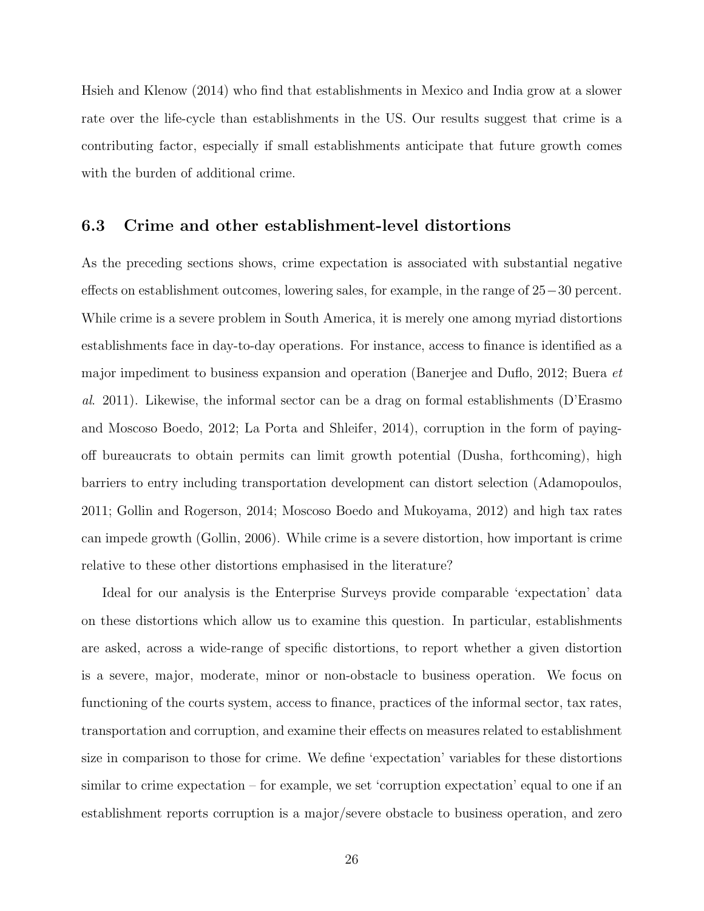Hsieh and Klenow (2014) who find that establishments in Mexico and India grow at a slower rate over the life-cycle than establishments in the US. Our results suggest that crime is a contributing factor, especially if small establishments anticipate that future growth comes with the burden of additional crime.

### 6.3 Crime and other establishment-level distortions

As the preceding sections shows, crime expectation is associated with substantial negative effects on establishment outcomes, lowering sales, for example, in the range of 25−30 percent. While crime is a severe problem in South America, it is merely one among myriad distortions establishments face in day-to-day operations. For instance, access to finance is identified as a major impediment to business expansion and operation (Banerjee and Duflo, 2012; Buera et al. 2011). Likewise, the informal sector can be a drag on formal establishments (D'Erasmo and Moscoso Boedo, 2012; La Porta and Shleifer, 2014), corruption in the form of payingoff bureaucrats to obtain permits can limit growth potential (Dusha, forthcoming), high barriers to entry including transportation development can distort selection (Adamopoulos, 2011; Gollin and Rogerson, 2014; Moscoso Boedo and Mukoyama, 2012) and high tax rates can impede growth (Gollin, 2006). While crime is a severe distortion, how important is crime relative to these other distortions emphasised in the literature?

Ideal for our analysis is the Enterprise Surveys provide comparable 'expectation' data on these distortions which allow us to examine this question. In particular, establishments are asked, across a wide-range of specific distortions, to report whether a given distortion is a severe, major, moderate, minor or non-obstacle to business operation. We focus on functioning of the courts system, access to finance, practices of the informal sector, tax rates, transportation and corruption, and examine their effects on measures related to establishment size in comparison to those for crime. We define 'expectation' variables for these distortions similar to crime expectation – for example, we set 'corruption expectation' equal to one if an establishment reports corruption is a major/severe obstacle to business operation, and zero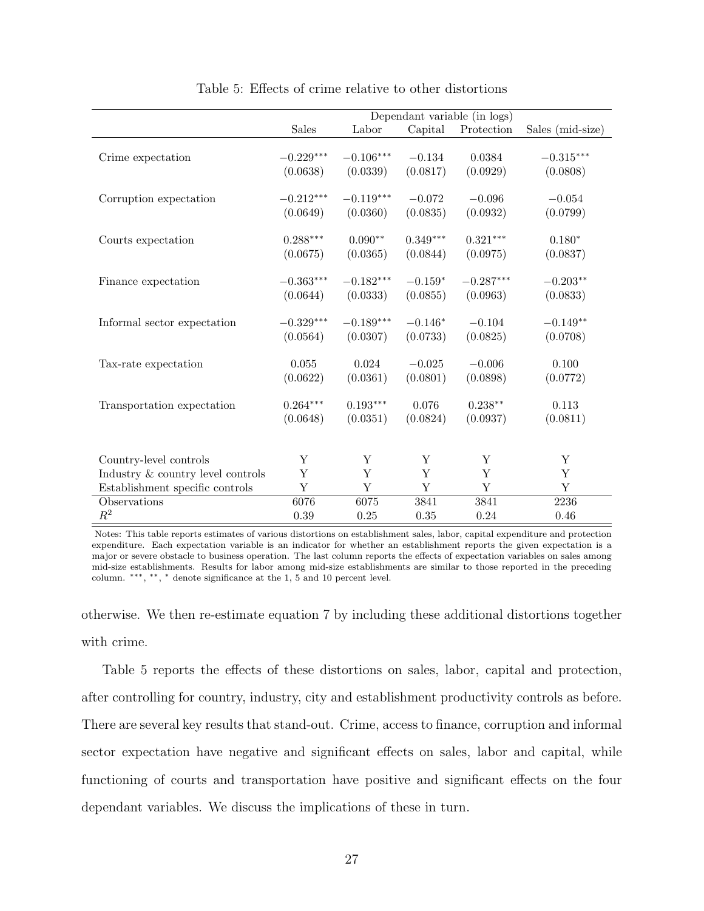|                                   |              |             |             | Dependant variable (in logs) |                  |
|-----------------------------------|--------------|-------------|-------------|------------------------------|------------------|
|                                   | <b>Sales</b> | Labor       | Capital     | Protection                   | Sales (mid-size) |
|                                   |              |             |             |                              |                  |
| Crime expectation                 | $-0.229***$  | $-0.106***$ | $-0.134$    | 0.0384                       | $-0.315***$      |
|                                   | (0.0638)     | (0.0339)    | (0.0817)    | (0.0929)                     | (0.0808)         |
| Corruption expectation            | $-0.212***$  | $-0.119***$ | $-0.072$    | $-0.096$                     | $-0.054$         |
|                                   | (0.0649)     | (0.0360)    | (0.0835)    | (0.0932)                     | (0.0799)         |
| Courts expectation                | $0.288***$   | $0.090**$   | $0.349***$  | $0.321***$                   | $0.180*$         |
|                                   | (0.0675)     | (0.0365)    | (0.0844)    | (0.0975)                     | (0.0837)         |
| Finance expectation               | $-0.363***$  | $-0.182***$ | $-0.159*$   | $-0.287***$                  | $-0.203**$       |
|                                   | (0.0644)     | (0.0333)    | (0.0855)    | (0.0963)                     | (0.0833)         |
| Informal sector expectation       | $-0.329***$  | $-0.189***$ | $-0.146*$   | $-0.104$                     | $-0.149**$       |
|                                   | (0.0564)     | (0.0307)    | (0.0733)    | (0.0825)                     | (0.0708)         |
| Tax-rate expectation              | 0.055        | 0.024       | $-0.025$    | $-0.006$                     | 0.100            |
|                                   | (0.0622)     | (0.0361)    | (0.0801)    | (0.0898)                     | (0.0772)         |
| Transportation expectation        | $0.264***$   | $0.193***$  | 0.076       | $0.238***$                   | 0.113            |
|                                   | (0.0648)     | (0.0351)    | (0.0824)    | (0.0937)                     | (0.0811)         |
|                                   |              |             |             |                              |                  |
| Country-level controls            | Υ            | Y           | Y           | Y                            | $\mathbf Y$      |
| Industry & country level controls | Y            | Υ           | Y           | Υ                            | $\mathbf Y$      |
| Establishment specific controls   | $\mathbf Y$  | Y           | $\mathbf Y$ | Y                            | $\mathbf Y$      |
| Observations                      | 6076         | 6075        | 3841        | 3841                         | 2236             |
| $\mathbb{R}^2$                    | 0.39         | 0.25        | 0.35        | 0.24                         | 0.46             |

#### Table 5: Effects of crime relative to other distortions

Notes: This table reports estimates of various distortions on establishment sales, labor, capital expenditure and protection expenditure. Each expectation variable is an indicator for whether an establishment reports the given expectation is a major or severe obstacle to business operation. The last column reports the effects of expectation variables on sales among mid-size establishments. Results for labor among mid-size establishments are similar to those reported in the preceding column. ∗∗∗, ∗∗, <sup>∗</sup> denote significance at the 1, 5 and 10 percent level.

otherwise. We then re-estimate equation 7 by including these additional distortions together with crime.

Table 5 reports the effects of these distortions on sales, labor, capital and protection, after controlling for country, industry, city and establishment productivity controls as before. There are several key results that stand-out. Crime, access to finance, corruption and informal sector expectation have negative and significant effects on sales, labor and capital, while functioning of courts and transportation have positive and significant effects on the four dependant variables. We discuss the implications of these in turn.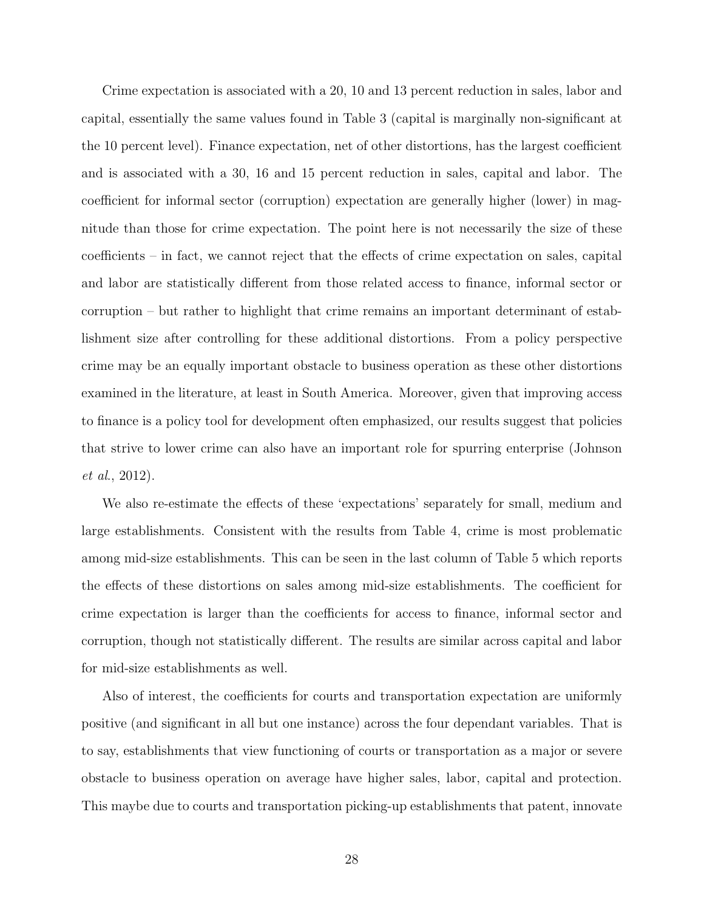Crime expectation is associated with a 20, 10 and 13 percent reduction in sales, labor and capital, essentially the same values found in Table 3 (capital is marginally non-significant at the 10 percent level). Finance expectation, net of other distortions, has the largest coefficient and is associated with a 30, 16 and 15 percent reduction in sales, capital and labor. The coefficient for informal sector (corruption) expectation are generally higher (lower) in magnitude than those for crime expectation. The point here is not necessarily the size of these coefficients – in fact, we cannot reject that the effects of crime expectation on sales, capital and labor are statistically different from those related access to finance, informal sector or corruption – but rather to highlight that crime remains an important determinant of establishment size after controlling for these additional distortions. From a policy perspective crime may be an equally important obstacle to business operation as these other distortions examined in the literature, at least in South America. Moreover, given that improving access to finance is a policy tool for development often emphasized, our results suggest that policies that strive to lower crime can also have an important role for spurring enterprise (Johnson et al., 2012).

We also re-estimate the effects of these 'expectations' separately for small, medium and large establishments. Consistent with the results from Table 4, crime is most problematic among mid-size establishments. This can be seen in the last column of Table 5 which reports the effects of these distortions on sales among mid-size establishments. The coefficient for crime expectation is larger than the coefficients for access to finance, informal sector and corruption, though not statistically different. The results are similar across capital and labor for mid-size establishments as well.

Also of interest, the coefficients for courts and transportation expectation are uniformly positive (and significant in all but one instance) across the four dependant variables. That is to say, establishments that view functioning of courts or transportation as a major or severe obstacle to business operation on average have higher sales, labor, capital and protection. This maybe due to courts and transportation picking-up establishments that patent, innovate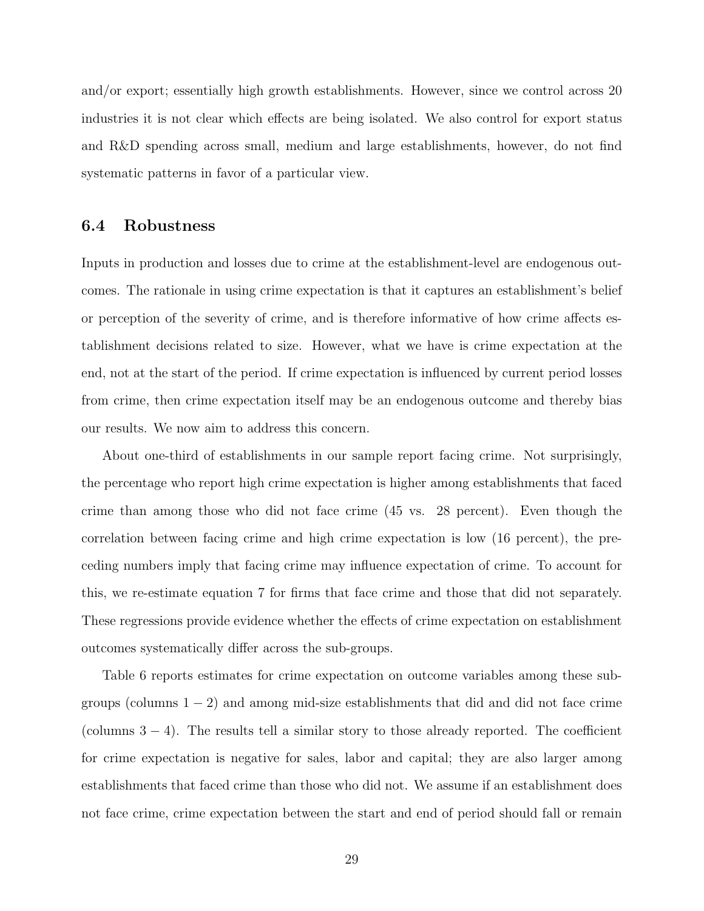and/or export; essentially high growth establishments. However, since we control across 20 industries it is not clear which effects are being isolated. We also control for export status and R&D spending across small, medium and large establishments, however, do not find systematic patterns in favor of a particular view.

### 6.4 Robustness

Inputs in production and losses due to crime at the establishment-level are endogenous outcomes. The rationale in using crime expectation is that it captures an establishment's belief or perception of the severity of crime, and is therefore informative of how crime affects establishment decisions related to size. However, what we have is crime expectation at the end, not at the start of the period. If crime expectation is influenced by current period losses from crime, then crime expectation itself may be an endogenous outcome and thereby bias our results. We now aim to address this concern.

About one-third of establishments in our sample report facing crime. Not surprisingly, the percentage who report high crime expectation is higher among establishments that faced crime than among those who did not face crime (45 vs. 28 percent). Even though the correlation between facing crime and high crime expectation is low (16 percent), the preceding numbers imply that facing crime may influence expectation of crime. To account for this, we re-estimate equation 7 for firms that face crime and those that did not separately. These regressions provide evidence whether the effects of crime expectation on establishment outcomes systematically differ across the sub-groups.

Table 6 reports estimates for crime expectation on outcome variables among these subgroups (columns  $1 - 2$ ) and among mid-size establishments that did and did not face crime (columns  $3 - 4$ ). The results tell a similar story to those already reported. The coefficient for crime expectation is negative for sales, labor and capital; they are also larger among establishments that faced crime than those who did not. We assume if an establishment does not face crime, crime expectation between the start and end of period should fall or remain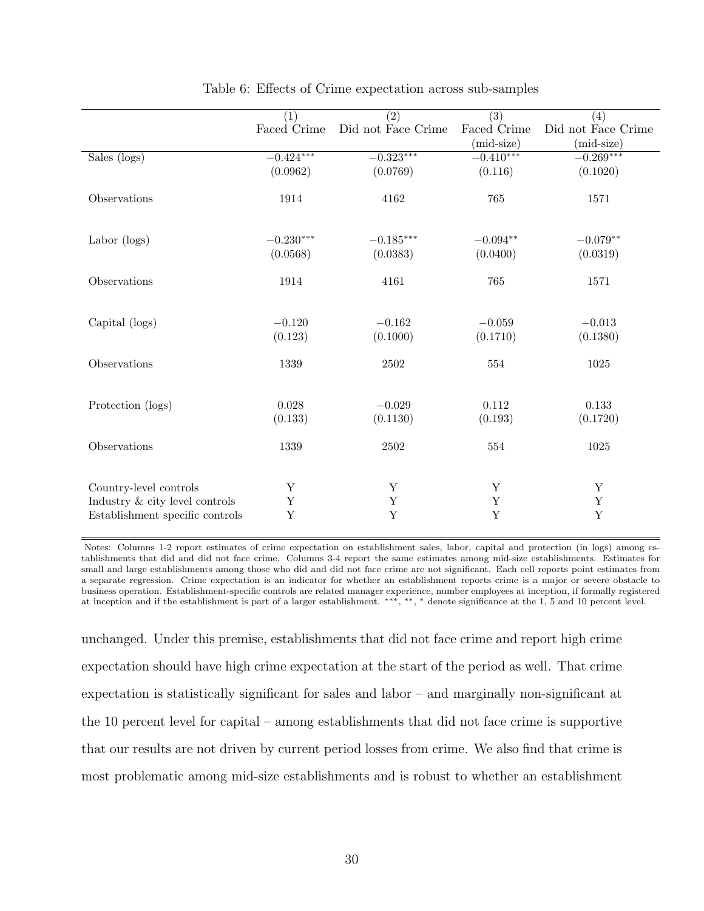|                                 | (1)         | $\overline{(2)}$        | $\overline{(3)}$     | (4)                  |
|---------------------------------|-------------|-------------------------|----------------------|----------------------|
|                                 | Faced Crime | Did not Face Crime      | Faced Crime          | Did not Face Crime   |
|                                 |             |                         | $(mid-size)$         | $(mid-size)$         |
| Sales (logs)                    | $-0.424***$ | $-0.323***$             | $-0.410***$          | $-0.269***$          |
|                                 | (0.0962)    | (0.0769)                | (0.116)              | (0.1020)             |
| Observations                    | 1914        | 4162                    | 765                  | 1571                 |
| Labor (logs)                    | $-0.230***$ | $-0.185^{\ast\ast\ast}$ | $-0.094**$           | $-0.079**$           |
|                                 | (0.0568)    | (0.0383)                | (0.0400)             | (0.0319)             |
| Observations                    | 1914        | 4161                    | 765                  | 1571                 |
|                                 |             |                         |                      |                      |
| Capital (logs)                  | $-0.120$    | $-0.162$                | $-0.059$<br>(0.1710) | $-0.013$<br>(0.1380) |
|                                 | (0.123)     | (0.1000)                |                      |                      |
| Observations                    | 1339        | 2502                    | 554                  | 1025                 |
|                                 |             |                         |                      |                      |
| Protection (logs)               | 0.028       | $-0.029$                | 0.112                | 0.133                |
|                                 | (0.133)     | (0.1130)                | (0.193)              | (0.1720)             |
| Observations                    | 1339        | 2502                    | 554                  | 1025                 |
| Country-level controls          | Y           | Y                       | Y                    | Y                    |
| Industry & city level controls  | $\mathbf Y$ | $\mathbf Y$             | $\mathbf Y$          | $\mathbf Y$          |
| Establishment specific controls | Y           | Y                       | Y                    | Y                    |
|                                 |             |                         |                      |                      |

#### Table 6: Effects of Crime expectation across sub-samples

Notes: Columns 1-2 report estimates of crime expectation on establishment sales, labor, capital and protection (in logs) among establishments that did and did not face crime. Columns 3-4 report the same estimates among mid-size establishments. Estimates for small and large establishments among those who did and did not face crime are not significant. Each cell reports point estimates from a separate regression. Crime expectation is an indicator for whether an establishment reports crime is a major or severe obstacle to business operation. Establishment-specific controls are related manager experience, number employees at inception, if formally registered at inception and if the establishment is part of a larger establishment. \*\*\*, \*\*, \* denote significance at the 1, 5 and 10 percent level.

unchanged. Under this premise, establishments that did not face crime and report high crime expectation should have high crime expectation at the start of the period as well. That crime expectation is statistically significant for sales and labor – and marginally non-significant at the 10 percent level for capital – among establishments that did not face crime is supportive that our results are not driven by current period losses from crime. We also find that crime is most problematic among mid-size establishments and is robust to whether an establishment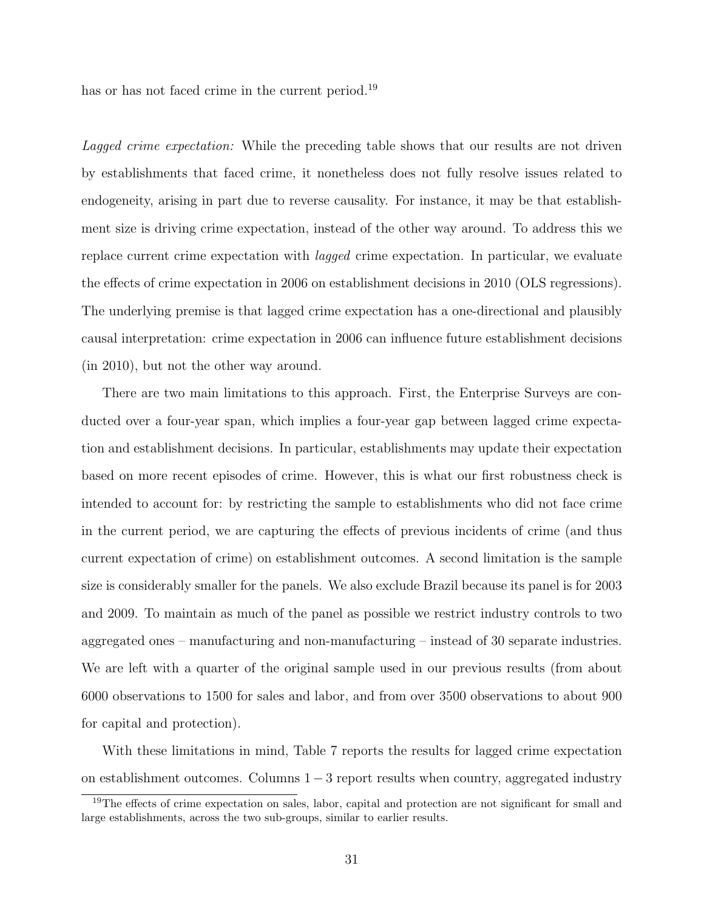has or has not faced crime in the current period.<sup>19</sup>

Lagged crime expectation: While the preceding table shows that our results are not driven by establishments that faced crime, it nonetheless does not fully resolve issues related to endogeneity, arising in part due to reverse causality. For instance, it may be that establishment size is driving crime expectation, instead of the other way around. To address this we replace current crime expectation with *lagged* crime expectation. In particular, we evaluate the effects of crime expectation in 2006 on establishment decisions in 2010 (OLS regressions). The underlying premise is that lagged crime expectation has a one-directional and plausibly causal interpretation: crime expectation in 2006 can influence future establishment decisions (in 2010), but not the other way around.

There are two main limitations to this approach. First, the Enterprise Surveys are conducted over a four-year span, which implies a four-year gap between lagged crime expectation and establishment decisions. In particular, establishments may update their expectation based on more recent episodes of crime. However, this is what our first robustness check is intended to account for: by restricting the sample to establishments who did not face crime in the current period, we are capturing the effects of previous incidents of crime (and thus current expectation of crime) on establishment outcomes. A second limitation is the sample size is considerably smaller for the panels. We also exclude Brazil because its panel is for 2003 and 2009. To maintain as much of the panel as possible we restrict industry controls to two aggregated ones – manufacturing and non-manufacturing – instead of 30 separate industries. We are left with a quarter of the original sample used in our previous results (from about 6000 observations to 1500 for sales and labor, and from over 3500 observations to about 900 for capital and protection).

With these limitations in mind, Table 7 reports the results for lagged crime expectation on establishment outcomes. Columns 1 −3 report results when country, aggregated industry

<sup>&</sup>lt;sup>19</sup>The effects of crime expectation on sales, labor, capital and protection are not significant for small and large establishments, across the two sub-groups, similar to earlier results.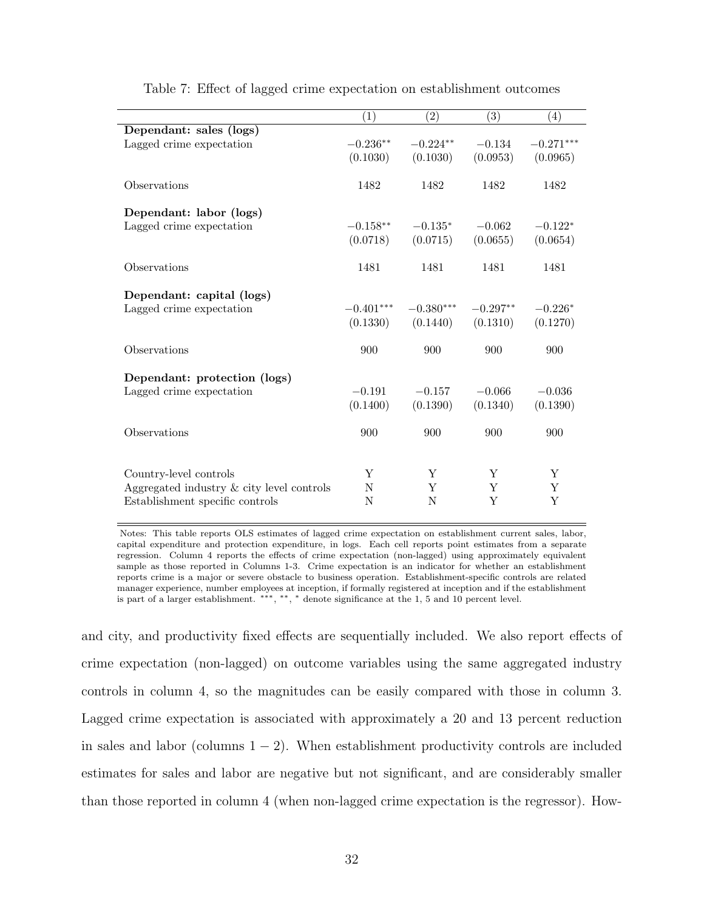|                                           | $\left( 1\right)$ | $\left( 2\right)$ | $\left( 3\right)$ | (4)         |
|-------------------------------------------|-------------------|-------------------|-------------------|-------------|
| Dependant: sales (logs)                   |                   |                   |                   |             |
| Lagged crime expectation                  | $-0.236**$        | $-0.224**$        | $-0.134$          | $-0.271***$ |
|                                           | (0.1030)          | (0.1030)          | (0.0953)          | (0.0965)    |
|                                           |                   |                   |                   |             |
| Observations                              | 1482              | 1482              | 1482              | 1482        |
|                                           |                   |                   |                   |             |
| Dependant: labor (logs)                   |                   |                   |                   |             |
| Lagged crime expectation                  | $-0.158**$        | $-0.135*$         | $-0.062$          | $-0.122*$   |
|                                           | (0.0718)          | (0.0715)          | (0.0655)          | (0.0654)    |
| Observations                              | 1481              | 1481              | 1481              | 1481        |
|                                           |                   |                   |                   |             |
| Dependant: capital (logs)                 |                   |                   |                   |             |
| Lagged crime expectation                  | $-0.401***$       | $-0.380***$       | $-0.297**$        | $-0.226*$   |
|                                           | (0.1330)          | (0.1440)          | (0.1310)          | (0.1270)    |
|                                           |                   |                   |                   |             |
| Observations                              | 900               | 900               | 900               | 900         |
| Dependant: protection (logs)              |                   |                   |                   |             |
| Lagged crime expectation                  | $-0.191$          | $-0.157$          | $-0.066$          | $-0.036$    |
|                                           | (0.1400)          | (0.1390)          | (0.1340)          | (0.1390)    |
|                                           |                   |                   |                   |             |
| Observations                              | 900               | 900               | 900               | 900         |
|                                           |                   |                   |                   |             |
| Country-level controls                    | Y                 | Y                 | Y                 | Υ           |
| Aggregated industry & city level controls | Ν                 | Υ                 | Y                 | Υ           |
| Establishment specific controls           | N                 | N                 | Y                 | Y           |
|                                           |                   |                   |                   |             |

Table 7: Effect of lagged crime expectation on establishment outcomes

Notes: This table reports OLS estimates of lagged crime expectation on establishment current sales, labor, capital expenditure and protection expenditure, in logs. Each cell reports point estimates from a separate regression. Column 4 reports the effects of crime expectation (non-lagged) using approximately equivalent sample as those reported in Columns 1-3. Crime expectation is an indicator for whether an establishment reports crime is a major or severe obstacle to business operation. Establishment-specific controls are related manager experience, number employees at inception, if formally registered at inception and if the establishment is part of a larger establishment. ∗∗∗, ∗∗, <sup>∗</sup> denote significance at the 1, 5 and 10 percent level.

and city, and productivity fixed effects are sequentially included. We also report effects of crime expectation (non-lagged) on outcome variables using the same aggregated industry controls in column 4, so the magnitudes can be easily compared with those in column 3. Lagged crime expectation is associated with approximately a 20 and 13 percent reduction in sales and labor (columns  $1 - 2$ ). When establishment productivity controls are included estimates for sales and labor are negative but not significant, and are considerably smaller than those reported in column 4 (when non-lagged crime expectation is the regressor). How-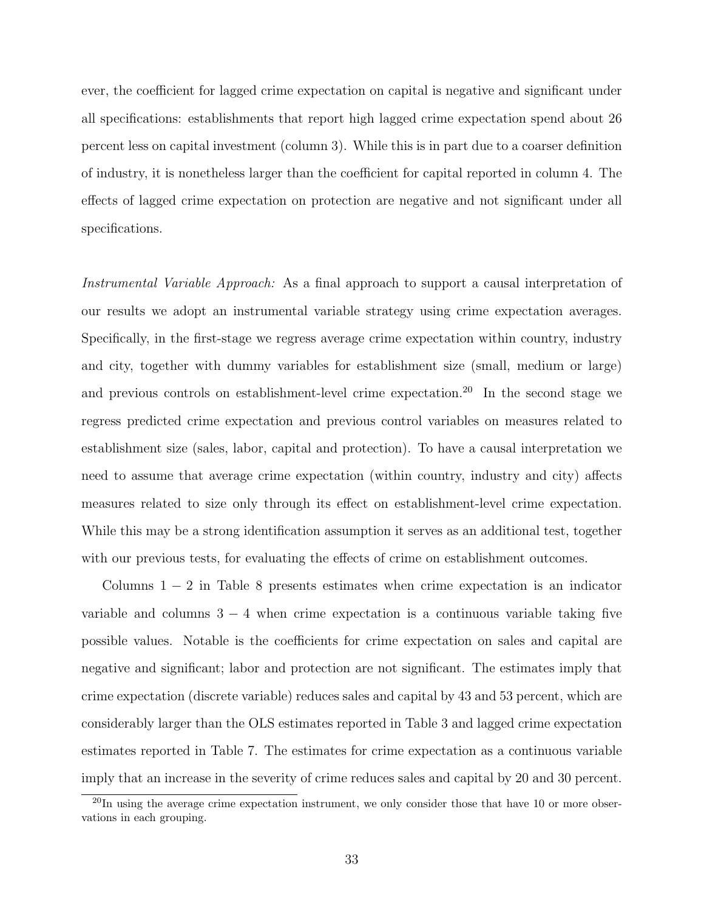ever, the coefficient for lagged crime expectation on capital is negative and significant under all specifications: establishments that report high lagged crime expectation spend about 26 percent less on capital investment (column 3). While this is in part due to a coarser definition of industry, it is nonetheless larger than the coefficient for capital reported in column 4. The effects of lagged crime expectation on protection are negative and not significant under all specifications.

Instrumental Variable Approach: As a final approach to support a causal interpretation of our results we adopt an instrumental variable strategy using crime expectation averages. Specifically, in the first-stage we regress average crime expectation within country, industry and city, together with dummy variables for establishment size (small, medium or large) and previous controls on establishment-level crime expectation.<sup>20</sup> In the second stage we regress predicted crime expectation and previous control variables on measures related to establishment size (sales, labor, capital and protection). To have a causal interpretation we need to assume that average crime expectation (within country, industry and city) affects measures related to size only through its effect on establishment-level crime expectation. While this may be a strong identification assumption it serves as an additional test, together with our previous tests, for evaluating the effects of crime on establishment outcomes.

Columns  $1 - 2$  in Table 8 presents estimates when crime expectation is an indicator variable and columns  $3 - 4$  when crime expectation is a continuous variable taking five possible values. Notable is the coefficients for crime expectation on sales and capital are negative and significant; labor and protection are not significant. The estimates imply that crime expectation (discrete variable) reduces sales and capital by 43 and 53 percent, which are considerably larger than the OLS estimates reported in Table 3 and lagged crime expectation estimates reported in Table 7. The estimates for crime expectation as a continuous variable imply that an increase in the severity of crime reduces sales and capital by 20 and 30 percent.

 $20\text{In}$  using the average crime expectation instrument, we only consider those that have 10 or more observations in each grouping.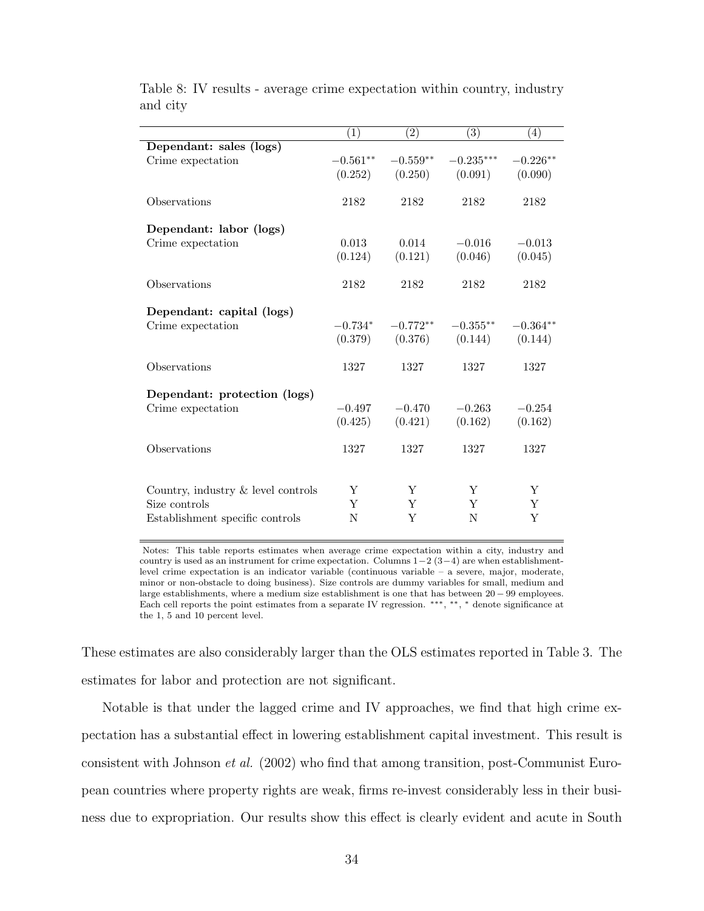|                                    | (1)        | $\left( 2\right)$ | (3)         | (4)        |
|------------------------------------|------------|-------------------|-------------|------------|
| Dependant: sales (logs)            |            |                   |             |            |
| Crime expectation                  | $-0.561**$ | $-0.559**$        | $-0.235***$ | $-0.226**$ |
|                                    | (0.252)    | (0.250)           | (0.091)     | (0.090)    |
|                                    |            |                   |             |            |
| Observations                       | 2182       | 2182              | 2182        | 2182       |
|                                    |            |                   |             |            |
| Dependant: labor (logs)            |            |                   |             |            |
| Crime expectation                  | 0.013      | 0.014             | $-0.016$    | $-0.013$   |
|                                    | (0.124)    | (0.121)           | (0.046)     | (0.045)    |
|                                    |            |                   |             |            |
| Observations                       | 2182       | 2182              | 2182        | 2182       |
|                                    |            |                   |             |            |
| Dependant: capital (logs)          |            |                   |             |            |
| Crime expectation                  | $-0.734*$  | $-0.772**$        | $-0.355**$  | $-0.364**$ |
|                                    | (0.379)    | (0.376)           | (0.144)     | (0.144)    |
|                                    |            |                   |             |            |
| Observations                       | 1327       | 1327              | 1327        | 1327       |
|                                    |            |                   |             |            |
| Dependant: protection (logs)       |            |                   |             |            |
| Crime expectation                  | $-0.497$   | $-0.470$          | $-0.263$    | $-0.254$   |
|                                    | (0.425)    | (0.421)           | (0.162)     | (0.162)    |
|                                    |            |                   |             |            |
| Observations                       | 1327       | 1327              | 1327        | 1327       |
|                                    |            |                   |             |            |
|                                    |            |                   |             |            |
| Country, industry & level controls | Y          | Y                 | Y           | Y          |
| Size controls                      | Y          | Y                 | Y           | Υ          |
| Establishment specific controls    | N          | Υ                 | N           | Y          |
|                                    |            |                   |             |            |

Table 8: IV results - average crime expectation within country, industry and city

Notes: This table reports estimates when average crime expectation within a city, industry and country is used as an instrument for crime expectation. Columns  $1-2(3-4)$  are when establishmentlevel crime expectation is an indicator variable (continuous variable – a severe, major, moderate, minor or non-obstacle to doing business). Size controls are dummy variables for small, medium and large establishments, where a medium size establishment is one that has between 20 − 99 employees. Each cell reports the point estimates from a separate IV regression. ∗∗∗, ∗∗, <sup>∗</sup> denote significance at the 1, 5 and 10 percent level.

These estimates are also considerably larger than the OLS estimates reported in Table 3. The estimates for labor and protection are not significant.

Notable is that under the lagged crime and IV approaches, we find that high crime expectation has a substantial effect in lowering establishment capital investment. This result is consistent with Johnson et al. (2002) who find that among transition, post-Communist European countries where property rights are weak, firms re-invest considerably less in their business due to expropriation. Our results show this effect is clearly evident and acute in South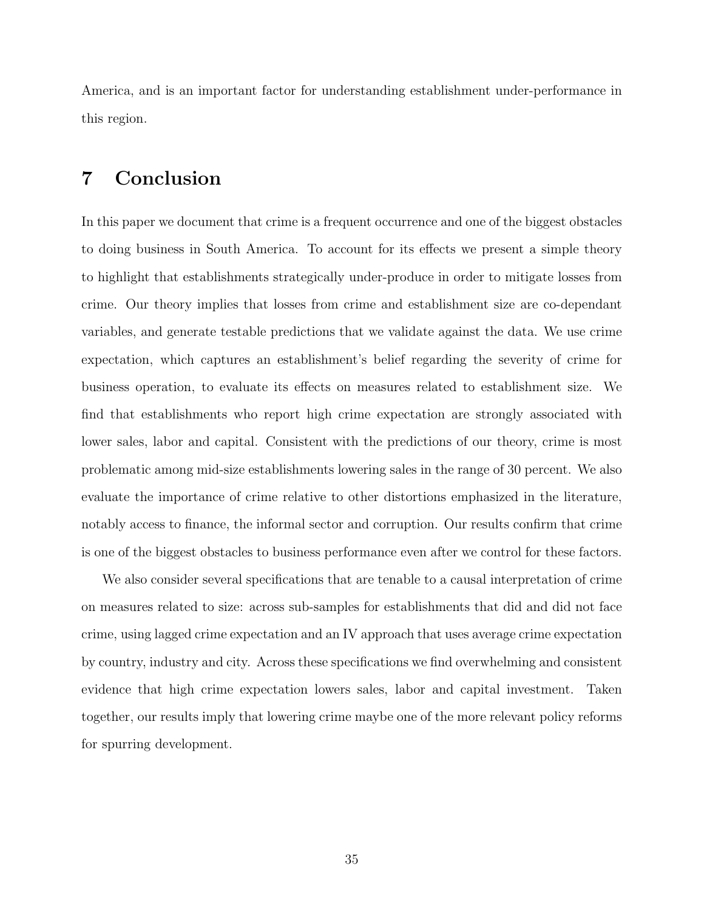America, and is an important factor for understanding establishment under-performance in this region.

# 7 Conclusion

In this paper we document that crime is a frequent occurrence and one of the biggest obstacles to doing business in South America. To account for its effects we present a simple theory to highlight that establishments strategically under-produce in order to mitigate losses from crime. Our theory implies that losses from crime and establishment size are co-dependant variables, and generate testable predictions that we validate against the data. We use crime expectation, which captures an establishment's belief regarding the severity of crime for business operation, to evaluate its effects on measures related to establishment size. We find that establishments who report high crime expectation are strongly associated with lower sales, labor and capital. Consistent with the predictions of our theory, crime is most problematic among mid-size establishments lowering sales in the range of 30 percent. We also evaluate the importance of crime relative to other distortions emphasized in the literature, notably access to finance, the informal sector and corruption. Our results confirm that crime is one of the biggest obstacles to business performance even after we control for these factors.

We also consider several specifications that are tenable to a causal interpretation of crime on measures related to size: across sub-samples for establishments that did and did not face crime, using lagged crime expectation and an IV approach that uses average crime expectation by country, industry and city. Across these specifications we find overwhelming and consistent evidence that high crime expectation lowers sales, labor and capital investment. Taken together, our results imply that lowering crime maybe one of the more relevant policy reforms for spurring development.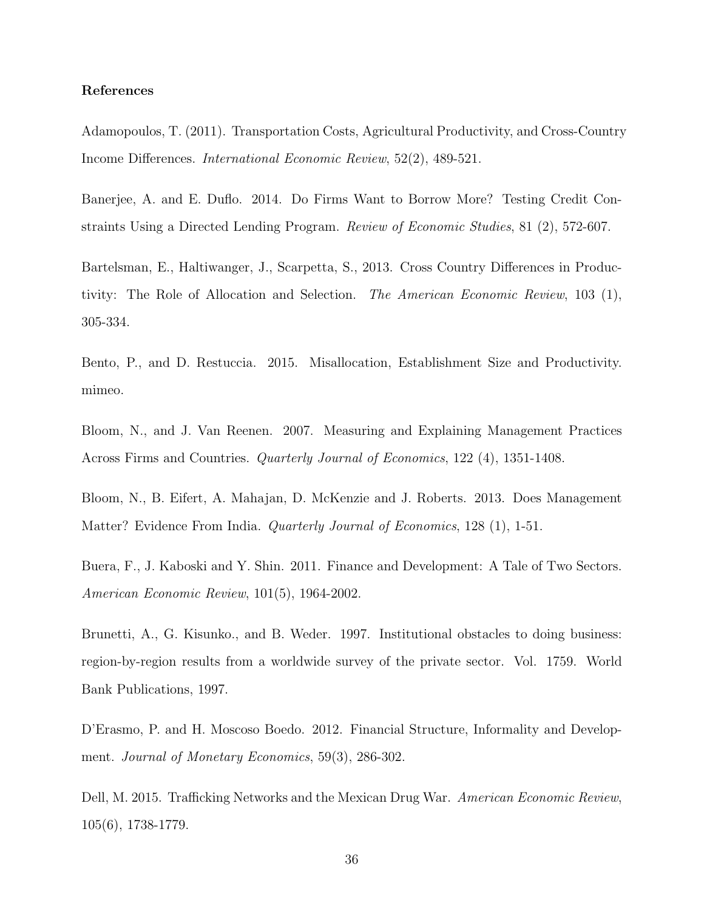#### References

Adamopoulos, T. (2011). Transportation Costs, Agricultural Productivity, and Cross-Country Income Differences. International Economic Review, 52(2), 489-521.

Banerjee, A. and E. Duflo. 2014. Do Firms Want to Borrow More? Testing Credit Constraints Using a Directed Lending Program. Review of Economic Studies, 81 (2), 572-607.

Bartelsman, E., Haltiwanger, J., Scarpetta, S., 2013. Cross Country Differences in Productivity: The Role of Allocation and Selection. The American Economic Review, 103 (1), 305-334.

Bento, P., and D. Restuccia. 2015. Misallocation, Establishment Size and Productivity. mimeo.

Bloom, N., and J. Van Reenen. 2007. Measuring and Explaining Management Practices Across Firms and Countries. Quarterly Journal of Economics, 122 (4), 1351-1408.

Bloom, N., B. Eifert, A. Mahajan, D. McKenzie and J. Roberts. 2013. Does Management Matter? Evidence From India. *Quarterly Journal of Economics*, 128 (1), 1-51.

Buera, F., J. Kaboski and Y. Shin. 2011. Finance and Development: A Tale of Two Sectors. American Economic Review, 101(5), 1964-2002.

Brunetti, A., G. Kisunko., and B. Weder. 1997. Institutional obstacles to doing business: region-by-region results from a worldwide survey of the private sector. Vol. 1759. World Bank Publications, 1997.

D'Erasmo, P. and H. Moscoso Boedo. 2012. Financial Structure, Informality and Development. Journal of Monetary Economics, 59(3), 286-302.

Dell, M. 2015. Trafficking Networks and the Mexican Drug War. American Economic Review, 105(6), 1738-1779.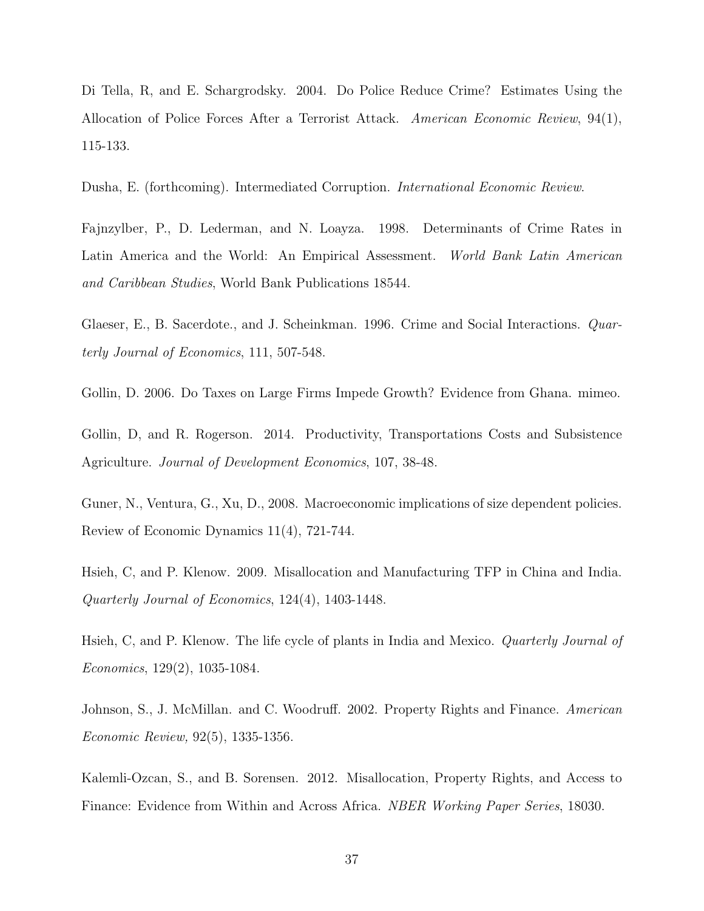Di Tella, R, and E. Schargrodsky. 2004. Do Police Reduce Crime? Estimates Using the Allocation of Police Forces After a Terrorist Attack. American Economic Review, 94(1), 115-133.

Dusha, E. (forthcoming). Intermediated Corruption. International Economic Review.

Fajnzylber, P., D. Lederman, and N. Loayza. 1998. Determinants of Crime Rates in Latin America and the World: An Empirical Assessment. World Bank Latin American and Caribbean Studies, World Bank Publications 18544.

Glaeser, E., B. Sacerdote., and J. Scheinkman. 1996. Crime and Social Interactions. Quarterly Journal of Economics, 111, 507-548.

Gollin, D. 2006. Do Taxes on Large Firms Impede Growth? Evidence from Ghana. mimeo.

Gollin, D, and R. Rogerson. 2014. Productivity, Transportations Costs and Subsistence Agriculture. Journal of Development Economics, 107, 38-48.

Guner, N., Ventura, G., Xu, D., 2008. Macroeconomic implications of size dependent policies. Review of Economic Dynamics 11(4), 721-744.

Hsieh, C, and P. Klenow. 2009. Misallocation and Manufacturing TFP in China and India. Quarterly Journal of Economics, 124(4), 1403-1448.

Hsieh, C, and P. Klenow. The life cycle of plants in India and Mexico. *Quarterly Journal of* Economics, 129(2), 1035-1084.

Johnson, S., J. McMillan. and C. Woodruff. 2002. Property Rights and Finance. American Economic Review, 92(5), 1335-1356.

Kalemli-Ozcan, S., and B. Sorensen. 2012. Misallocation, Property Rights, and Access to Finance: Evidence from Within and Across Africa. *NBER Working Paper Series*, 18030.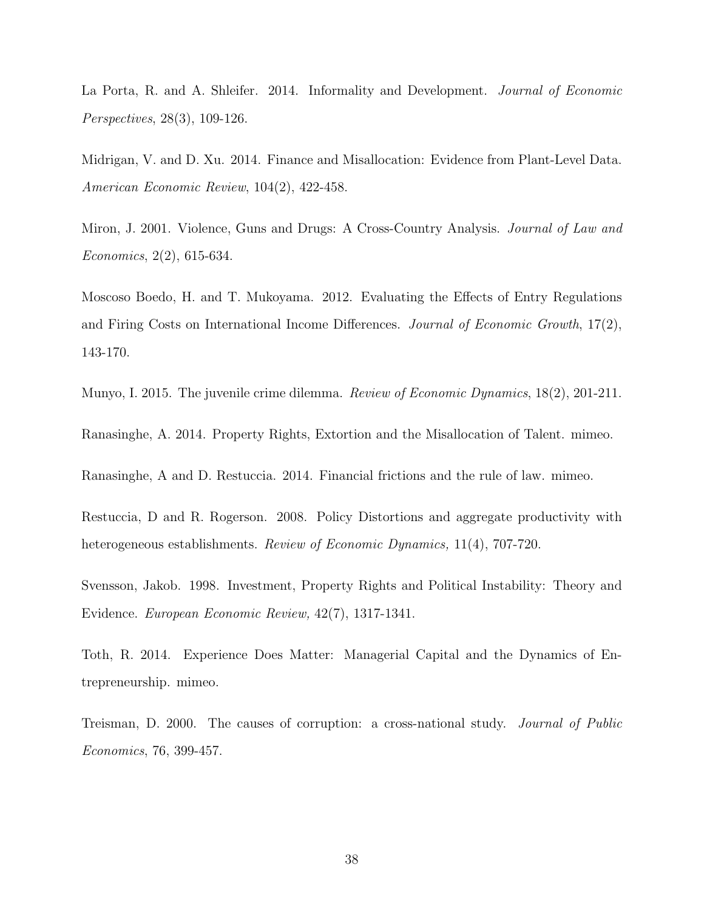La Porta, R. and A. Shleifer. 2014. Informality and Development. *Journal of Economic* Perspectives, 28(3), 109-126.

Midrigan, V. and D. Xu. 2014. Finance and Misallocation: Evidence from Plant-Level Data. American Economic Review, 104(2), 422-458.

Miron, J. 2001. Violence, Guns and Drugs: A Cross-Country Analysis. *Journal of Law and* Economics, 2(2), 615-634.

Moscoso Boedo, H. and T. Mukoyama. 2012. Evaluating the Effects of Entry Regulations and Firing Costs on International Income Differences. Journal of Economic Growth, 17(2), 143-170.

Munyo, I. 2015. The juvenile crime dilemma. Review of Economic Dynamics, 18(2), 201-211.

Ranasinghe, A. 2014. Property Rights, Extortion and the Misallocation of Talent. mimeo.

Ranasinghe, A and D. Restuccia. 2014. Financial frictions and the rule of law. mimeo.

Restuccia, D and R. Rogerson. 2008. Policy Distortions and aggregate productivity with heterogeneous establishments. *Review of Economic Dynamics*, 11(4), 707-720.

Svensson, Jakob. 1998. Investment, Property Rights and Political Instability: Theory and Evidence. European Economic Review, 42(7), 1317-1341.

Toth, R. 2014. Experience Does Matter: Managerial Capital and the Dynamics of Entrepreneurship. mimeo.

Treisman, D. 2000. The causes of corruption: a cross-national study. *Journal of Public* Economics, 76, 399-457.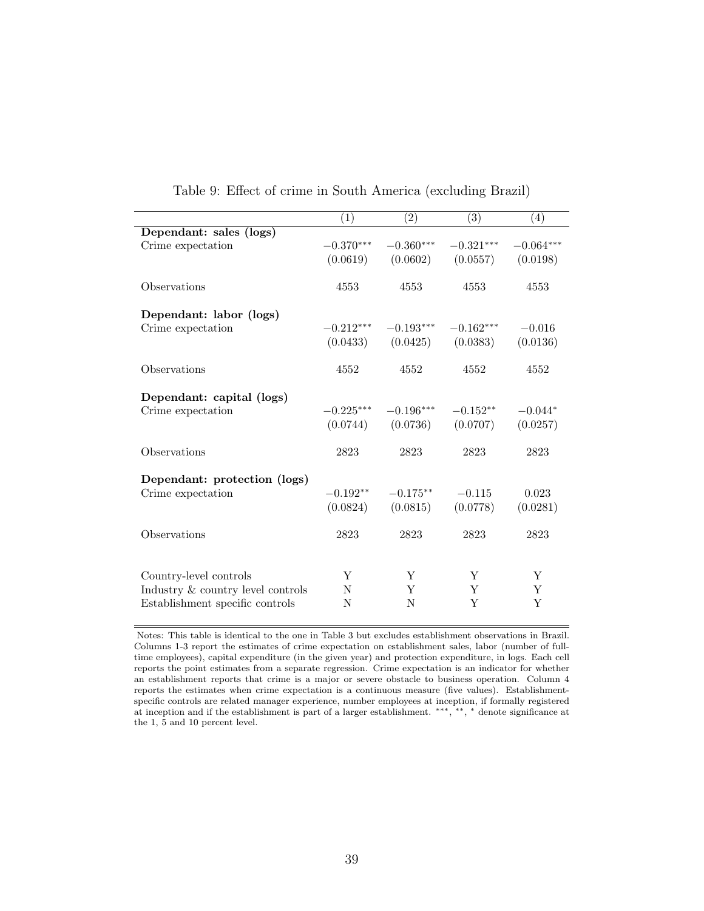|                                   | (1)         | (2)                   | $\overline{(3)}$ | (4)         |
|-----------------------------------|-------------|-----------------------|------------------|-------------|
| Dependant: sales (logs)           |             |                       |                  |             |
| Crime expectation                 | $-0.370***$ | $-0.360***$           | $-0.321***$      | $-0.064***$ |
|                                   | (0.0619)    | (0.0602)              | (0.0557)         | (0.0198)    |
| Observations                      | 4553        | 4553                  | 4553             | 4553        |
| Dependant: labor (logs)           |             |                       |                  |             |
| Crime expectation                 | $-0.212***$ | $-0.193***$           | $-0.162***$      | $-0.016$    |
|                                   | (0.0433)    | (0.0425)              | (0.0383)         | (0.0136)    |
| Observations                      | 4552        | 4552                  | 4552             | 4552        |
| Dependant: capital (logs)         |             |                       |                  |             |
| Crime expectation                 | $-0.225***$ | $-0.196***$           | $-0.152**$       | $-0.044*$   |
|                                   |             | $(0.0744)$ $(0.0736)$ | (0.0707)         | (0.0257)    |
| Observations                      | 2823        | 2823                  | 2823             | 2823        |
| Dependant: protection (logs)      |             |                       |                  |             |
| Crime expectation                 | $-0.192**$  | $-0.175**$            | $-0.115$         | 0.023       |
|                                   | (0.0824)    | (0.0815)              | (0.0778)         | (0.0281)    |
| Observations                      | 2823        | 2823                  | 2823             | 2823        |
| Country-level controls            | Υ           | Y                     | Y                | Y           |
| Industry & country level controls | N           | Y                     | Y                | Y           |
| Establishment specific controls   | N           | N                     | Y                | Y           |

Table 9: Effect of crime in South America (excluding Brazil)

J.  $\overline{a}$ 

Notes: This table is identical to the one in Table 3 but excludes establishment observations in Brazil. Columns 1-3 report the estimates of crime expectation on establishment sales, labor (number of fulltime employees), capital expenditure (in the given year) and protection expenditure, in logs. Each cell reports the point estimates from a separate regression. Crime expectation is an indicator for whether an establishment reports that crime is a major or severe obstacle to business operation. Column 4 reports the estimates when crime expectation is a continuous measure (five values). Establishmentspecific controls are related manager experience, number employees at inception, if formally registered at inception and if the establishment is part of a larger establishment. ∗∗∗, ∗∗, <sup>∗</sup> denote significance at the 1, 5 and 10 percent level.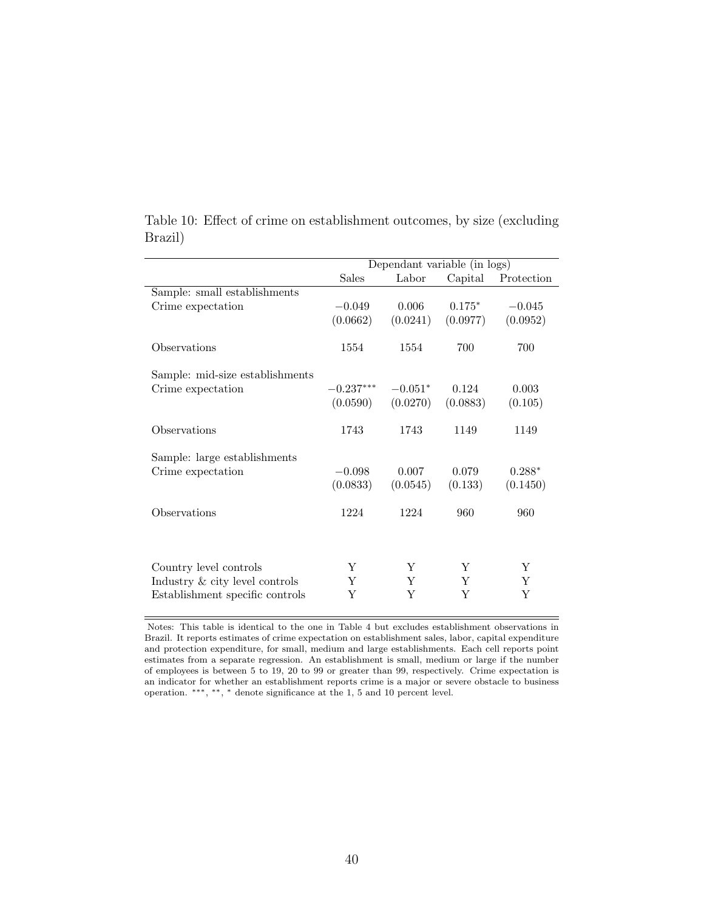|                                 |             | Dependant variable (in logs) |          |            |  |  |
|---------------------------------|-------------|------------------------------|----------|------------|--|--|
|                                 | Sales       | Labor                        | Capital  | Protection |  |  |
| Sample: small establishments    |             |                              |          |            |  |  |
| Crime expectation               | $-0.049$    | 0.006                        | $0.175*$ | $-0.045$   |  |  |
|                                 | (0.0662)    | (0.0241)                     | (0.0977) | (0.0952)   |  |  |
| Observations                    | 1554        | 1554                         | 700      | 700        |  |  |
| Sample: mid-size establishments |             |                              |          |            |  |  |
| Crime expectation               | $-0.237***$ | $-0.051*$                    | 0.124    | 0.003      |  |  |
|                                 | (0.0590)    | (0.0270)                     | (0.0883) | (0.105)    |  |  |
| Observations                    | 1743        | 1743                         | 1149     | 1149       |  |  |
| Sample: large establishments    |             |                              |          |            |  |  |
| Crime expectation               | $-0.098$    | 0.007                        | 0.079    | $0.288*$   |  |  |
|                                 | (0.0833)    | (0.0545)                     | (0.133)  | (0.1450)   |  |  |
| Observations                    | 1224        | 1224                         | 960      | 960        |  |  |
|                                 | Y           | Y                            | Y        | Y          |  |  |
| Country level controls          | Y           | Y                            | Y        | Y          |  |  |
| Industry & city level controls  | Y           | Y                            | Y        | Y          |  |  |
| Establishment specific controls |             |                              |          |            |  |  |

Table 10: Effect of crime on establishment outcomes, by size (excluding Brazil)

Notes: This table is identical to the one in Table 4 but excludes establishment observations in Brazil. It reports estimates of crime expectation on establishment sales, labor, capital expenditure and protection expenditure, for small, medium and large establishments. Each cell reports point estimates from a separate regression. An establishment is small, medium or large if the number of employees is between 5 to 19, 20 to 99 or greater than 99, respectively. Crime expectation is an indicator for whether an establishment reports crime is a major or severe obstacle to business operation. ∗∗∗, ∗∗, <sup>∗</sup> denote significance at the 1, 5 and 10 percent level.